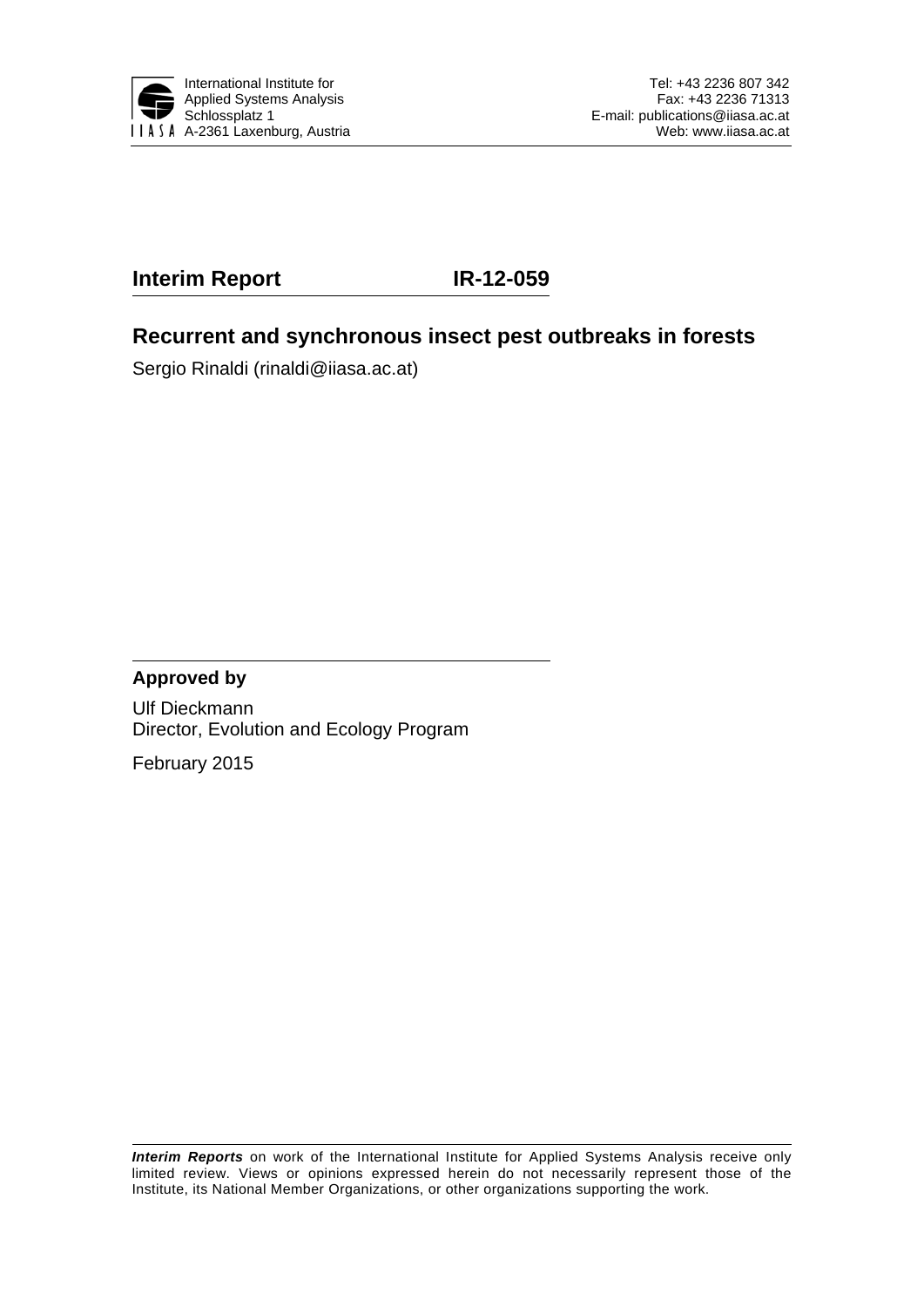

# **Interim Report IR-12-059**

## **Recurrent and synchronous insect pest outbreaks in forests**

Sergio Rinaldi (rinaldi@iiasa.ac.at)

## **Approved by**

Ulf Dieckmann Director, Evolution and Ecology Program

February 2015

*Interim Reports* on work of the International Institute for Applied Systems Analysis receive only limited review. Views or opinions expressed herein do not necessarily represent those of the Institute, its National Member Organizations, or other organizations supporting the work.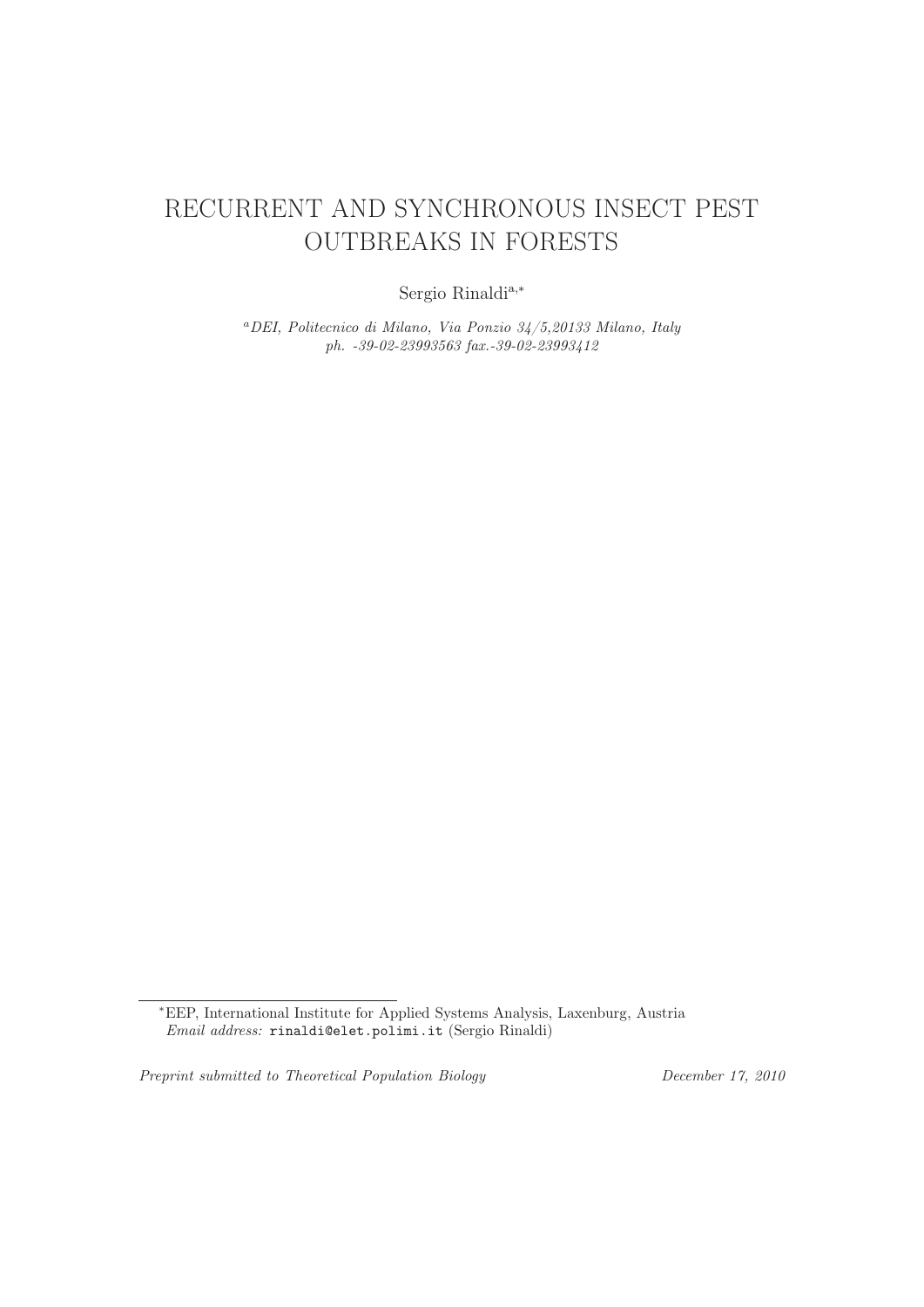# RECURRENT AND SYNCHRONOUS INSECT PEST OUTBREAKS IN FORESTS

Sergio Rinaldia,<sup>∗</sup>

<sup>a</sup>*DEI, Politecnico di Milano, Via Ponzio 34/5,20133 Milano, Italy ph. -39-02-23993563 fax.-39-02-23993412*

*Preprint submitted to Theoretical Population Biology December 17, 2010*

<sup>∗</sup>EEP, International Institute for Applied Systems Analysis, Laxenburg, Austria *Email address:* rinaldi@elet.polimi.it (Sergio Rinaldi)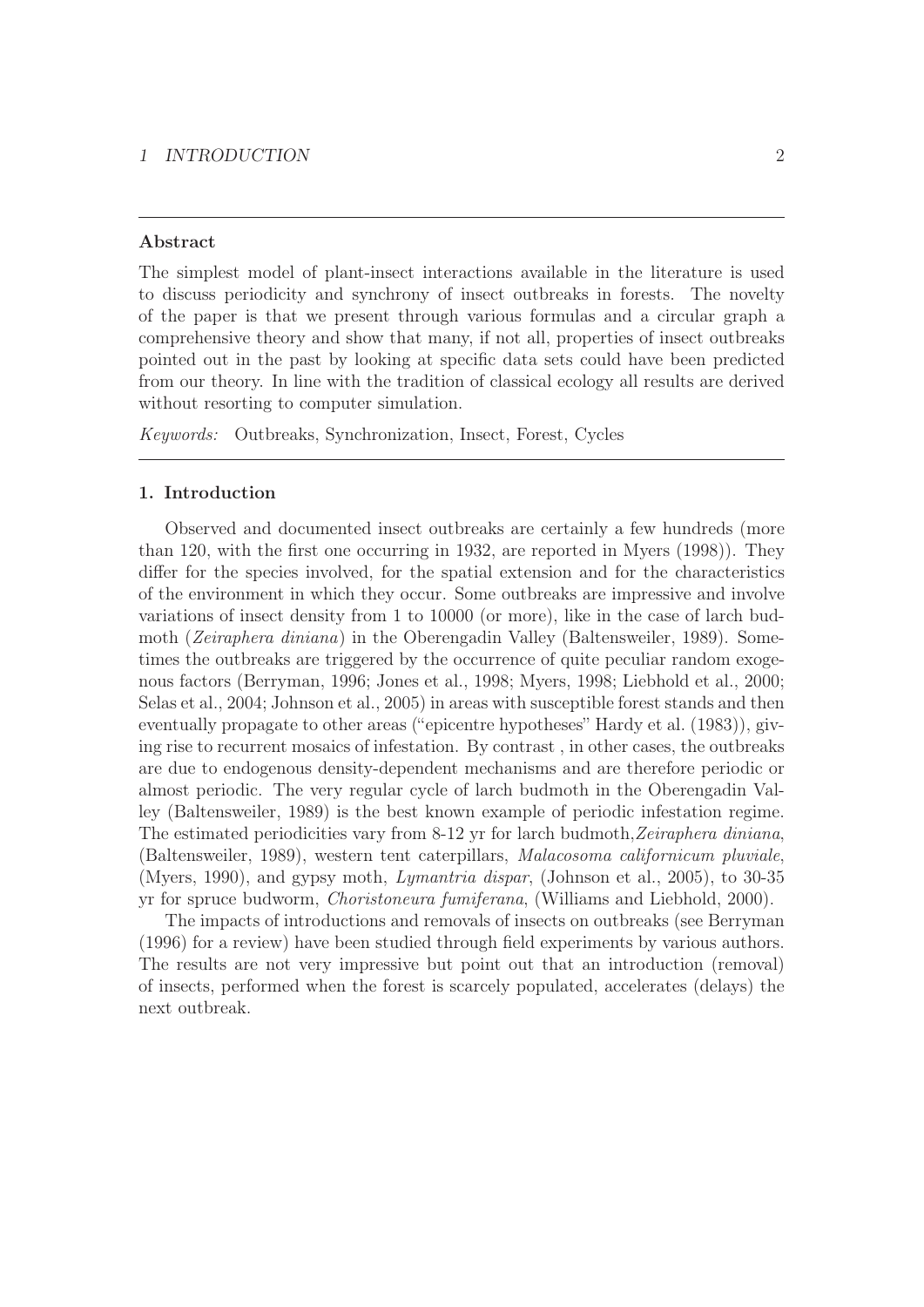## 1 INTRODUCTION 2

## Abstract

The simplest model of plant-insect interactions available in the literature is used to discuss periodicity and synchrony of insect outbreaks in forests. The novelty of the paper is that we present through various formulas and a circular graph a comprehensive theory and show that many, if not all, properties of insect outbreaks pointed out in the past by looking at specific data sets could have been predicted from our theory. In line with the tradition of classical ecology all results are derived without resorting to computer simulation.

Keywords: Outbreaks, Synchronization, Insect, Forest, Cycles

## 1. Introduction

Observed and documented insect outbreaks are certainly a few hundreds (more than 120, with the first one occurring in 1932, are reported in Myers (1998)). They differ for the species involved, for the spatial extension and for the characteristics of the environment in which they occur. Some outbreaks are impressive and involve variations of insect density from 1 to 10000 (or more), like in the case of larch budmoth (Zeiraphera diniana) in the Oberengadin Valley (Baltensweiler, 1989). Sometimes the outbreaks are triggered by the occurrence of quite peculiar random exogenous factors (Berryman, 1996; Jones et al., 1998; Myers, 1998; Liebhold et al., 2000; Selas et al., 2004; Johnson et al., 2005) in areas with susceptible forest stands and then eventually propagate to other areas ("epicentre hypotheses" Hardy et al. (1983)), giving rise to recurrent mosaics of infestation. By contrast , in other cases, the outbreaks are due to endogenous density-dependent mechanisms and are therefore periodic or almost periodic. The very regular cycle of larch budmoth in the Oberengadin Valley (Baltensweiler, 1989) is the best known example of periodic infestation regime. The estimated periodicities vary from 8-12 yr for larch budmoth, Zeiraphera diniana, (Baltensweiler, 1989), western tent caterpillars, Malacosoma californicum pluviale, (Myers, 1990), and gypsy moth, Lymantria dispar, (Johnson et al., 2005), to 30-35 yr for spruce budworm, Choristoneura fumiferana, (Williams and Liebhold, 2000).

The impacts of introductions and removals of insects on outbreaks (see Berryman (1996) for a review) have been studied through field experiments by various authors. The results are not very impressive but point out that an introduction (removal) of insects, performed when the forest is scarcely populated, accelerates (delays) the next outbreak.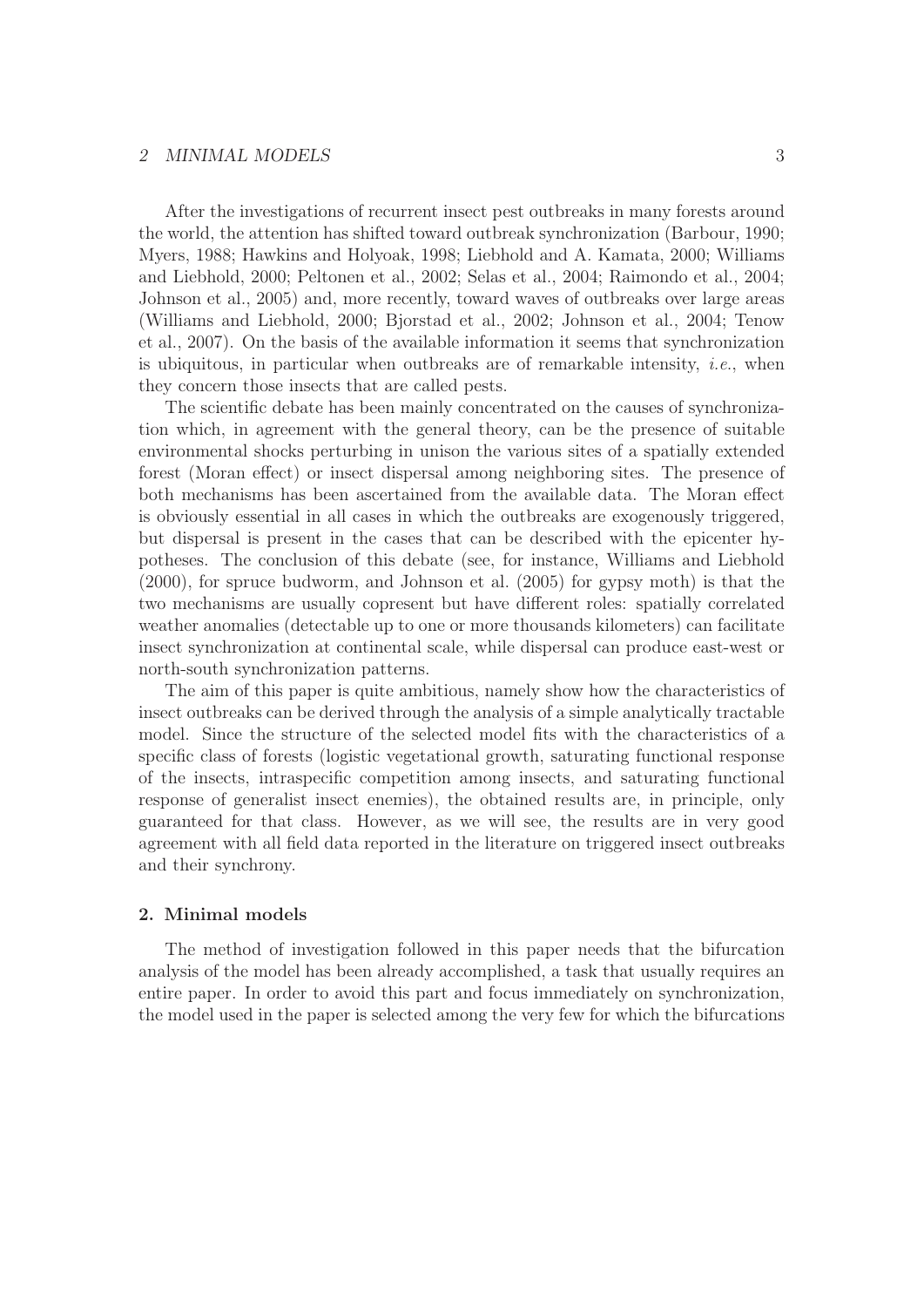## 2 MINIMAL MODELS 3

After the investigations of recurrent insect pest outbreaks in many forests around the world, the attention has shifted toward outbreak synchronization (Barbour, 1990; Myers, 1988; Hawkins and Holyoak, 1998; Liebhold and A. Kamata, 2000; Williams and Liebhold, 2000; Peltonen et al., 2002; Selas et al., 2004; Raimondo et al., 2004; Johnson et al., 2005) and, more recently, toward waves of outbreaks over large areas (Williams and Liebhold, 2000; Bjorstad et al., 2002; Johnson et al., 2004; Tenow et al., 2007). On the basis of the available information it seems that synchronization is ubiquitous, in particular when outbreaks are of remarkable intensity, *i.e.*, when they concern those insects that are called pests.

The scientific debate has been mainly concentrated on the causes of synchronization which, in agreement with the general theory, can be the presence of suitable environmental shocks perturbing in unison the various sites of a spatially extended forest (Moran effect) or insect dispersal among neighboring sites. The presence of both mechanisms has been ascertained from the available data. The Moran effect is obviously essential in all cases in which the outbreaks are exogenously triggered, but dispersal is present in the cases that can be described with the epicenter hypotheses. The conclusion of this debate (see, for instance, Williams and Liebhold (2000), for spruce budworm, and Johnson et al. (2005) for gypsy moth) is that the two mechanisms are usually copresent but have different roles: spatially correlated weather anomalies (detectable up to one or more thousands kilometers) can facilitate insect synchronization at continental scale, while dispersal can produce east-west or north-south synchronization patterns.

The aim of this paper is quite ambitious, namely show how the characteristics of insect outbreaks can be derived through the analysis of a simple analytically tractable model. Since the structure of the selected model fits with the characteristics of a specific class of forests (logistic vegetational growth, saturating functional response of the insects, intraspecific competition among insects, and saturating functional response of generalist insect enemies), the obtained results are, in principle, only guaranteed for that class. However, as we will see, the results are in very good agreement with all field data reported in the literature on triggered insect outbreaks and their synchrony.

## 2. Minimal models

The method of investigation followed in this paper needs that the bifurcation analysis of the model has been already accomplished, a task that usually requires an entire paper. In order to avoid this part and focus immediately on synchronization, the model used in the paper is selected among the very few for which the bifurcations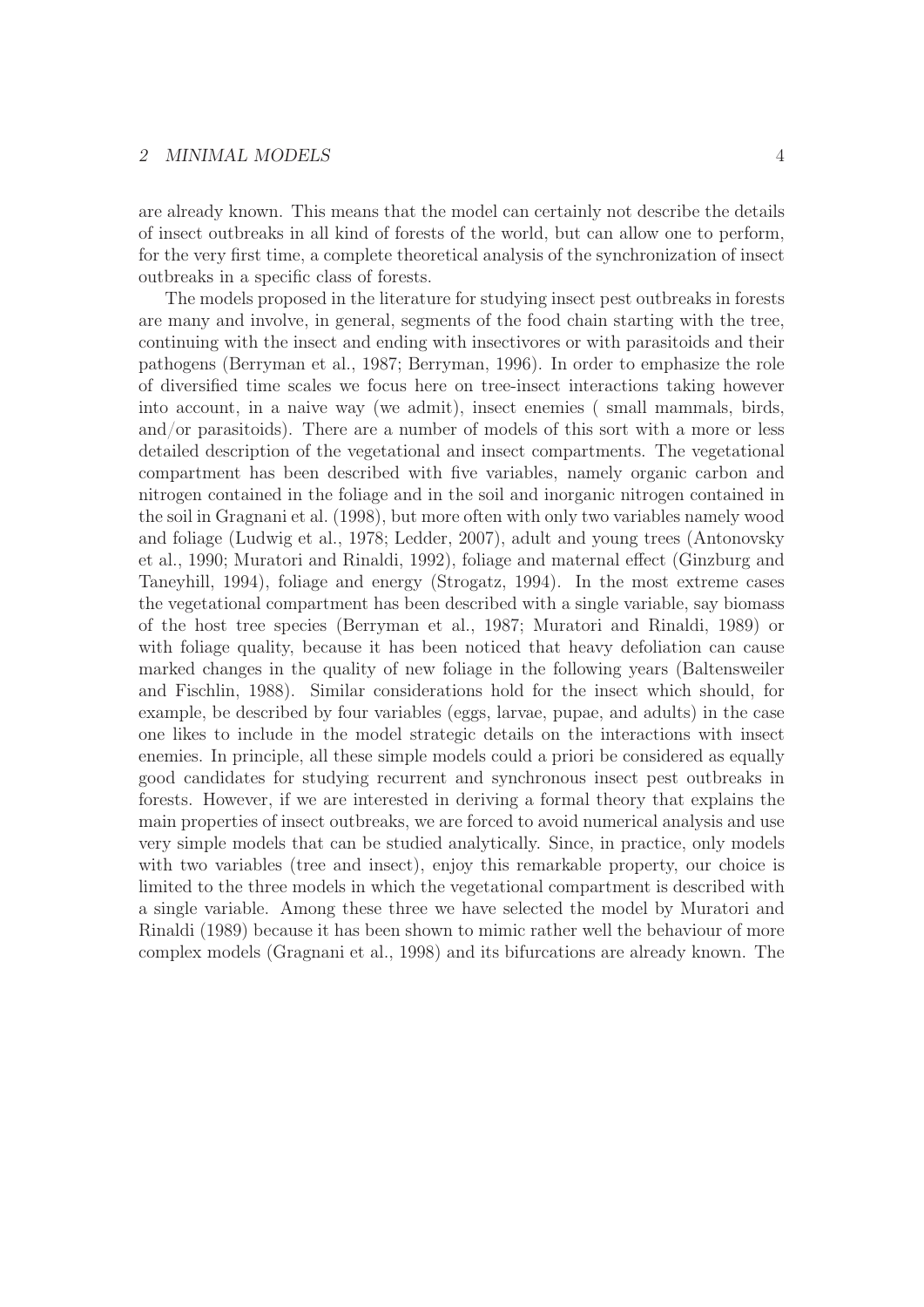## 2 MINIMAL MODELS 4

are already known. This means that the model can certainly not describe the details of insect outbreaks in all kind of forests of the world, but can allow one to perform, for the very first time, a complete theoretical analysis of the synchronization of insect outbreaks in a specific class of forests.

The models proposed in the literature for studying insect pest outbreaks in forests are many and involve, in general, segments of the food chain starting with the tree, continuing with the insect and ending with insectivores or with parasitoids and their pathogens (Berryman et al., 1987; Berryman, 1996). In order to emphasize the role of diversified time scales we focus here on tree-insect interactions taking however into account, in a naive way (we admit), insect enemies ( small mammals, birds, and/or parasitoids). There are a number of models of this sort with a more or less detailed description of the vegetational and insect compartments. The vegetational compartment has been described with five variables, namely organic carbon and nitrogen contained in the foliage and in the soil and inorganic nitrogen contained in the soil in Gragnani et al. (1998), but more often with only two variables namely wood and foliage (Ludwig et al., 1978; Ledder, 2007), adult and young trees (Antonovsky et al., 1990; Muratori and Rinaldi, 1992), foliage and maternal effect (Ginzburg and Taneyhill, 1994), foliage and energy (Strogatz, 1994). In the most extreme cases the vegetational compartment has been described with a single variable, say biomass of the host tree species (Berryman et al., 1987; Muratori and Rinaldi, 1989) or with foliage quality, because it has been noticed that heavy defoliation can cause marked changes in the quality of new foliage in the following years (Baltensweiler and Fischlin, 1988). Similar considerations hold for the insect which should, for example, be described by four variables (eggs, larvae, pupae, and adults) in the case one likes to include in the model strategic details on the interactions with insect enemies. In principle, all these simple models could a priori be considered as equally good candidates for studying recurrent and synchronous insect pest outbreaks in forests. However, if we are interested in deriving a formal theory that explains the main properties of insect outbreaks, we are forced to avoid numerical analysis and use very simple models that can be studied analytically. Since, in practice, only models with two variables (tree and insect), enjoy this remarkable property, our choice is limited to the three models in which the vegetational compartment is described with a single variable. Among these three we have selected the model by Muratori and Rinaldi (1989) because it has been shown to mimic rather well the behaviour of more complex models (Gragnani et al., 1998) and its bifurcations are already known. The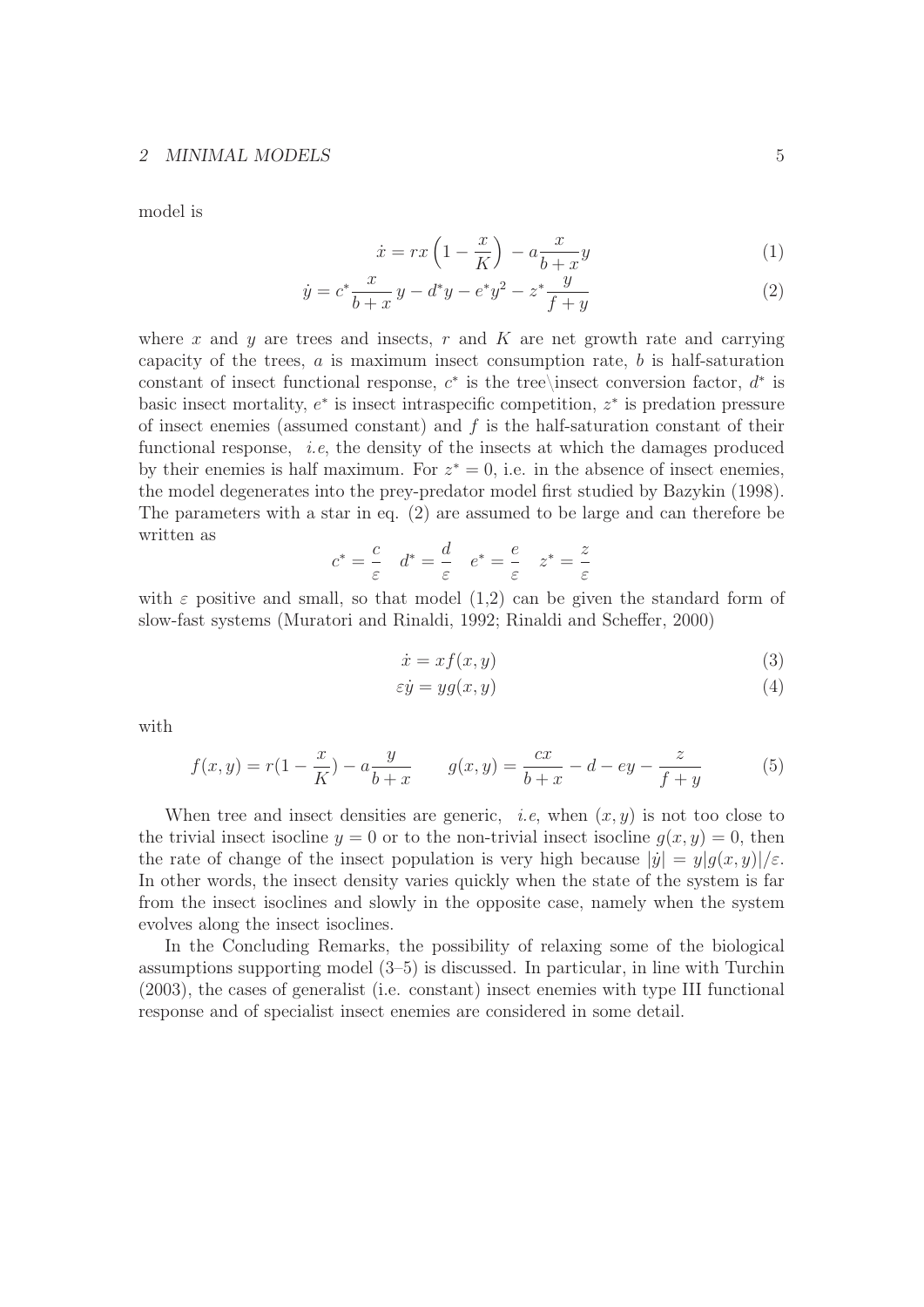## 2 MINIMAL MODELS 5

model is

$$
\dot{x} = rx\left(1 - \frac{x}{K}\right) - a\frac{x}{b+x}y\tag{1}
$$

$$
\dot{y} = c^* \frac{x}{b+x} y - d^* y - e^* y^2 - z^* \frac{y}{f+y}
$$
\n(2)

where x and y are trees and insects, r and K are net growth rate and carrying capacity of the trees,  $a$  is maximum insect consumption rate,  $b$  is half-saturation constant of insect functional response,  $c^*$  is the tree\insect conversion factor,  $d^*$  is basic insect mortality,  $e^*$  is insect intraspecific competition,  $z^*$  is predation pressure of insect enemies (assumed constant) and  $f$  is the half-saturation constant of their functional response, *i.e*, the density of the insects at which the damages produced by their enemies is half maximum. For  $z^* = 0$ , i.e. in the absence of insect enemies, the model degenerates into the prey-predator model first studied by Bazykin (1998). The parameters with a star in eq. (2) are assumed to be large and can therefore be written as

$$
c^* = \frac{c}{\varepsilon} \quad d^* = \frac{d}{\varepsilon} \quad e^* = \frac{e}{\varepsilon} \quad z^* = \frac{z}{\varepsilon}
$$

with  $\varepsilon$  positive and small, so that model (1,2) can be given the standard form of slow-fast systems (Muratori and Rinaldi, 1992; Rinaldi and Scheffer, 2000)

$$
\dot{x} = x f(x, y) \tag{3}
$$

$$
\varepsilon \dot{y} = yg(x, y) \tag{4}
$$

with

$$
f(x,y) = r(1 - \frac{x}{K}) - a\frac{y}{b+x} \qquad g(x,y) = \frac{cx}{b+x} - d - ey - \frac{z}{f+y}
$$
(5)

When tree and insect densities are generic, *i.e.*, when  $(x, y)$  is not too close to the trivial insect isocline  $y = 0$  or to the non-trivial insect isocline  $g(x, y) = 0$ , then the rate of change of the insect population is very high because  $|\dot{y}| = y|q(x, y)|/\varepsilon$ . In other words, the insect density varies quickly when the state of the system is far from the insect isoclines and slowly in the opposite case, namely when the system evolves along the insect isoclines.

In the Concluding Remarks, the possibility of relaxing some of the biological assumptions supporting model (3–5) is discussed. In particular, in line with Turchin (2003), the cases of generalist (i.e. constant) insect enemies with type III functional response and of specialist insect enemies are considered in some detail.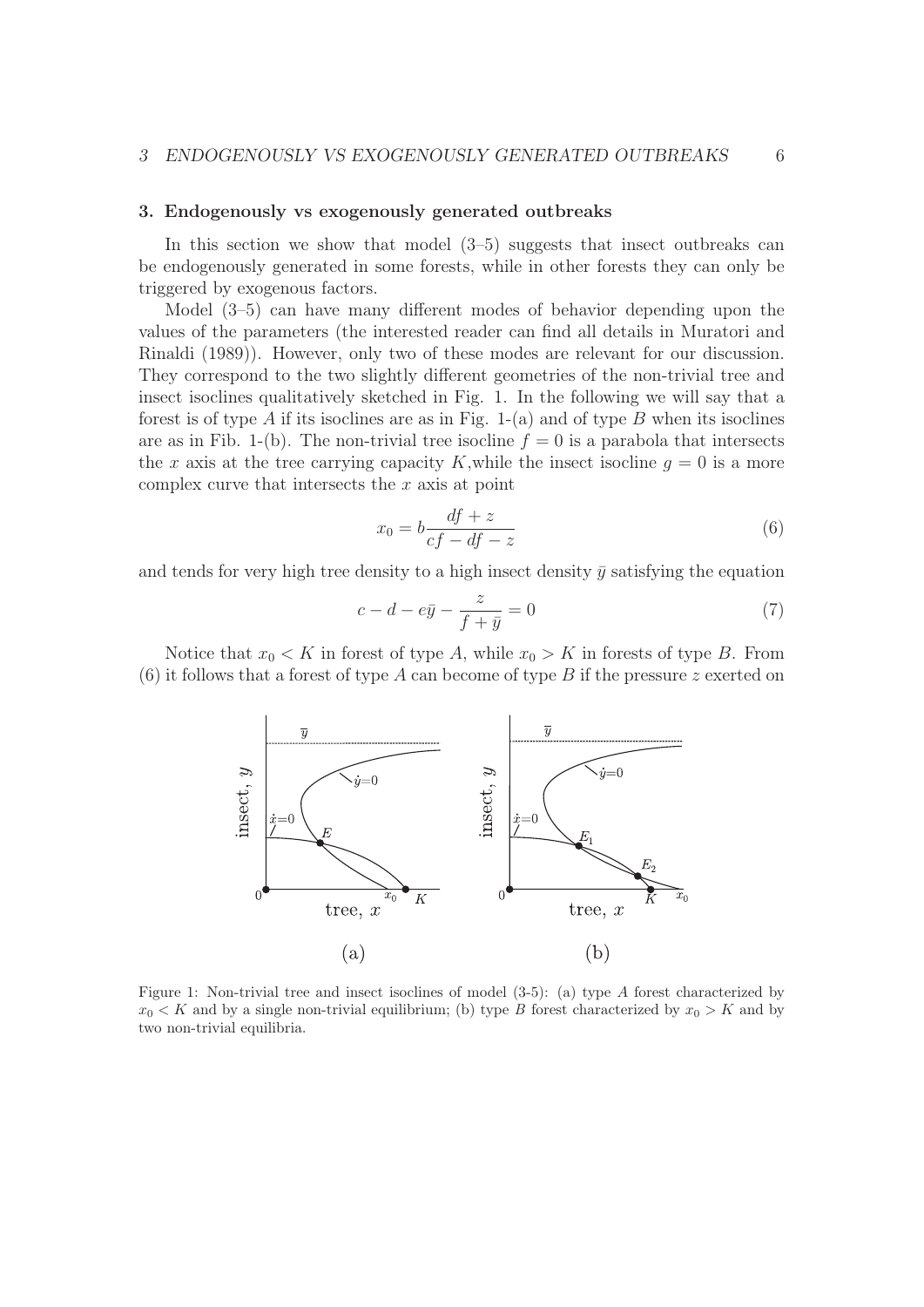### 3. Endogenously vs exogenously generated outbreaks

In this section we show that model  $(3-5)$  suggests that insect outbreaks can be endogenously generated in some forests, while in other forests they can only be triggered by exogenous factors.

Model (3–5) can have many different modes of behavior depending upon the values of the parameters (the interested reader can find all details in Muratori and Rinaldi (1989)). However, only two of these modes are relevant for our discussion. They correspond to the two slightly different geometries of the non-trivial tree and insect isoclines qualitatively sketched in Fig. 1. In the following we will say that a forest is of type A if its isoclines are as in Fig.  $1-(a)$  and of type B when its isoclines are as in Fib. 1-(b). The non-trivial tree isocline  $f = 0$  is a parabola that intersects the x axis at the tree carrying capacity K, while the insect isocline  $g = 0$  is a more complex curve that intersects the  $x$  axis at point

$$
x_0 = b \frac{df + z}{cf - df - z} \tag{6}
$$

and tends for very high tree density to a high insect density  $\bar{y}$  satisfying the equation

$$
c - d - e\overline{y} - \frac{z}{f + \overline{y}} = 0\tag{7}
$$

Notice that  $x_0 < K$  in forest of type A, while  $x_0 > K$  in forests of type B. From (6) it follows that a forest of type A can become of type B if the pressure z exerted on



Figure 1: Non-trivial tree and insect isoclines of model (3-5): (a) type A forest characterized by  $x_0 < K$  and by a single non-trivial equilibrium; (b) type *B* forest characterized by  $x_0 > K$  and by two non-trivial equilibria.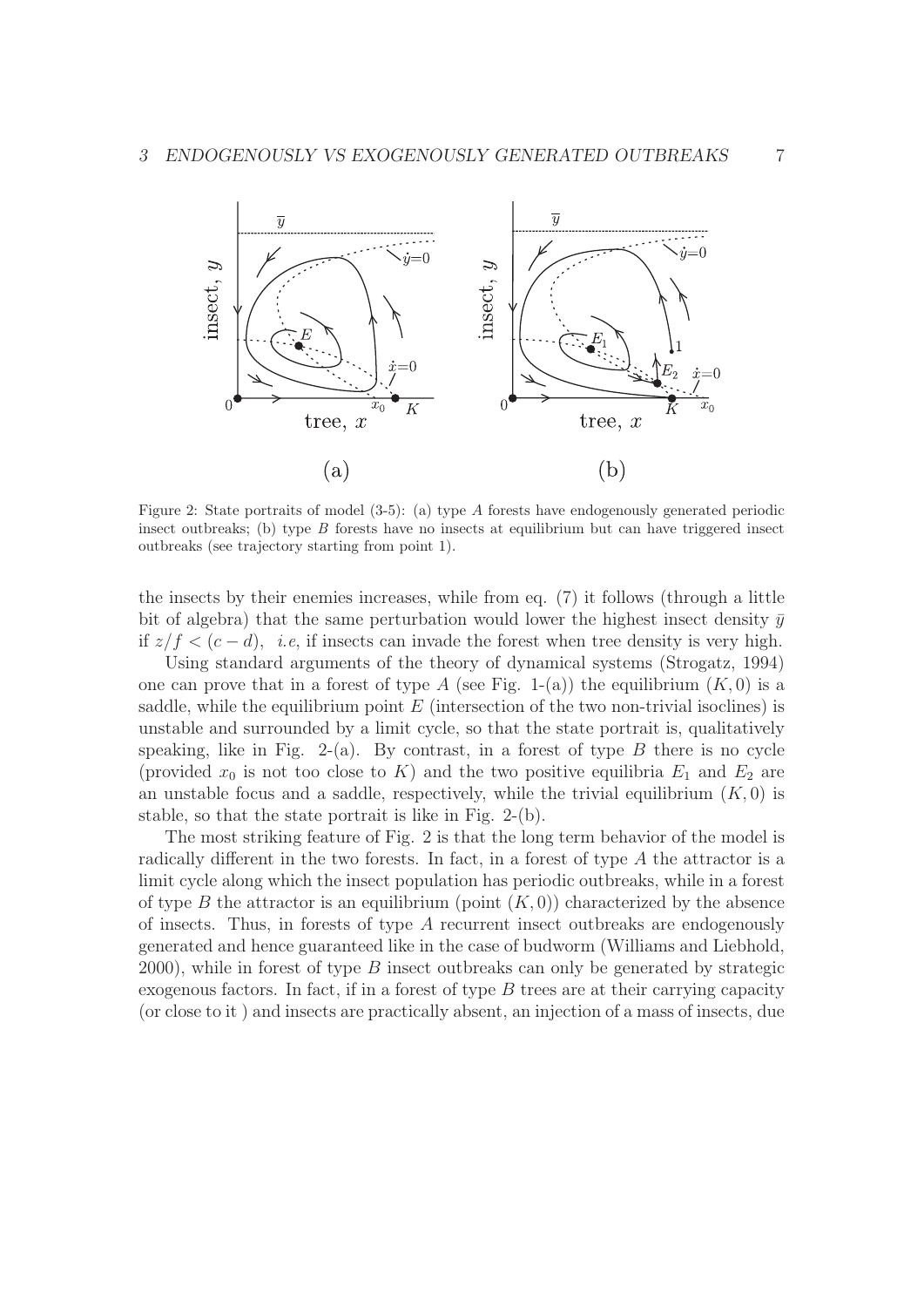

Figure 2: State portraits of model (3-5): (a) type A forests have endogenously generated periodic insect outbreaks; (b) type *B* forests have no insects at equilibrium but can have triggered insect outbreaks (see trajectory starting from point 1).

the insects by their enemies increases, while from eq. (7) it follows (through a little bit of algebra) that the same perturbation would lower the highest insect density  $\bar{y}$ if  $z/f$  <  $(c - d)$ , *i.e.*, if insects can invade the forest when tree density is very high.

Using standard arguments of the theory of dynamical systems (Strogatz, 1994) one can prove that in a forest of type A (see Fig. 1-(a)) the equilibrium  $(K, 0)$  is a saddle, while the equilibrium point  $E$  (intersection of the two non-trivial isoclines) is unstable and surrounded by a limit cycle, so that the state portrait is, qualitatively speaking, like in Fig. 2-(a). By contrast, in a forest of type  $B$  there is no cycle (provided  $x_0$  is not too close to K) and the two positive equilibria  $E_1$  and  $E_2$  are an unstable focus and a saddle, respectively, while the trivial equilibrium  $(K, 0)$  is stable, so that the state portrait is like in Fig. 2-(b).

The most striking feature of Fig. 2 is that the long term behavior of the model is radically different in the two forests. In fact, in a forest of type A the attractor is a limit cycle along which the insect population has periodic outbreaks, while in a forest of type B the attractor is an equilibrium (point  $(K, 0)$ ) characterized by the absence of insects. Thus, in forests of type A recurrent insect outbreaks are endogenously generated and hence guaranteed like in the case of budworm (Williams and Liebhold, 2000), while in forest of type B insect outbreaks can only be generated by strategic exogenous factors. In fact, if in a forest of type B trees are at their carrying capacity (or close to it ) and insects are practically absent, an injection of a mass of insects, due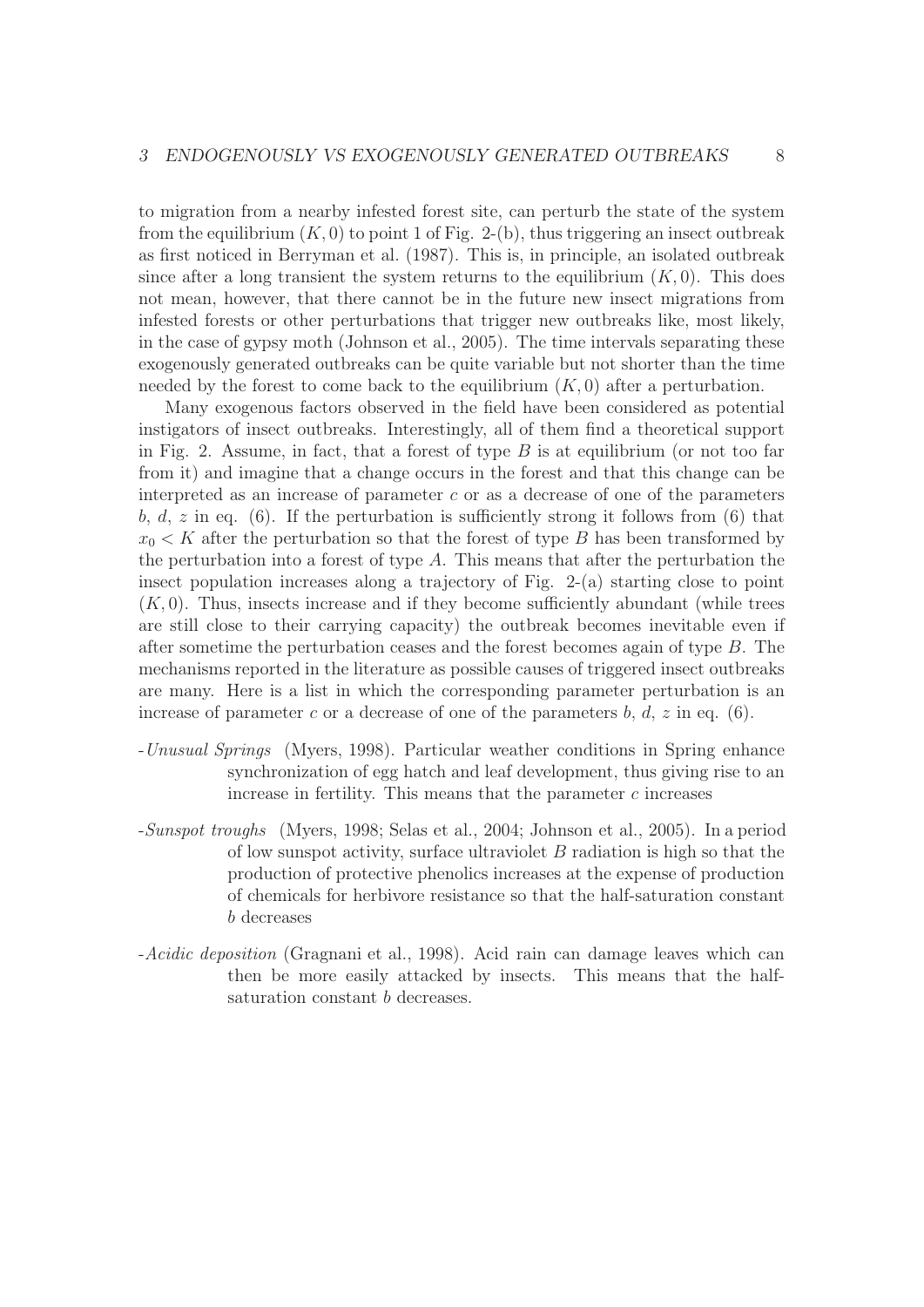to migration from a nearby infested forest site, can perturb the state of the system from the equilibrium  $(K, 0)$  to point 1 of Fig. 2-(b), thus triggering an insect outbreak as first noticed in Berryman et al. (1987). This is, in principle, an isolated outbreak since after a long transient the system returns to the equilibrium  $(K, 0)$ . This does not mean, however, that there cannot be in the future new insect migrations from infested forests or other perturbations that trigger new outbreaks like, most likely, in the case of gypsy moth (Johnson et al., 2005). The time intervals separating these exogenously generated outbreaks can be quite variable but not shorter than the time needed by the forest to come back to the equilibrium  $(K, 0)$  after a perturbation.

Many exogenous factors observed in the field have been considered as potential instigators of insect outbreaks. Interestingly, all of them find a theoretical support in Fig. 2. Assume, in fact, that a forest of type  $B$  is at equilibrium (or not too far from it) and imagine that a change occurs in the forest and that this change can be interpreted as an increase of parameter  $c$  or as a decrease of one of the parameters b, d, z in eq. (6). If the perturbation is sufficiently strong it follows from (6) that  $x_0 \leq K$  after the perturbation so that the forest of type B has been transformed by the perturbation into a forest of type  $A$ . This means that after the perturbation the insect population increases along a trajectory of Fig. 2-(a) starting close to point  $(K, 0)$ . Thus, insects increase and if they become sufficiently abundant (while trees are still close to their carrying capacity) the outbreak becomes inevitable even if after sometime the perturbation ceases and the forest becomes again of type B. The mechanisms reported in the literature as possible causes of triggered insect outbreaks are many. Here is a list in which the corresponding parameter perturbation is an increase of parameter c or a decrease of one of the parameters b, d, z in eq. (6).

- -Unusual Springs (Myers, 1998). Particular weather conditions in Spring enhance synchronization of egg hatch and leaf development, thus giving rise to an increase in fertility. This means that the parameter  $c$  increases
- -Sunspot troughs (Myers, 1998; Selas et al., 2004; Johnson et al., 2005). In a period of low sunspot activity, surface ultraviolet  $B$  radiation is high so that the production of protective phenolics increases at the expense of production of chemicals for herbivore resistance so that the half-saturation constant b decreases
- -Acidic deposition (Gragnani et al., 1998). Acid rain can damage leaves which can then be more easily attacked by insects. This means that the halfsaturation constant b decreases.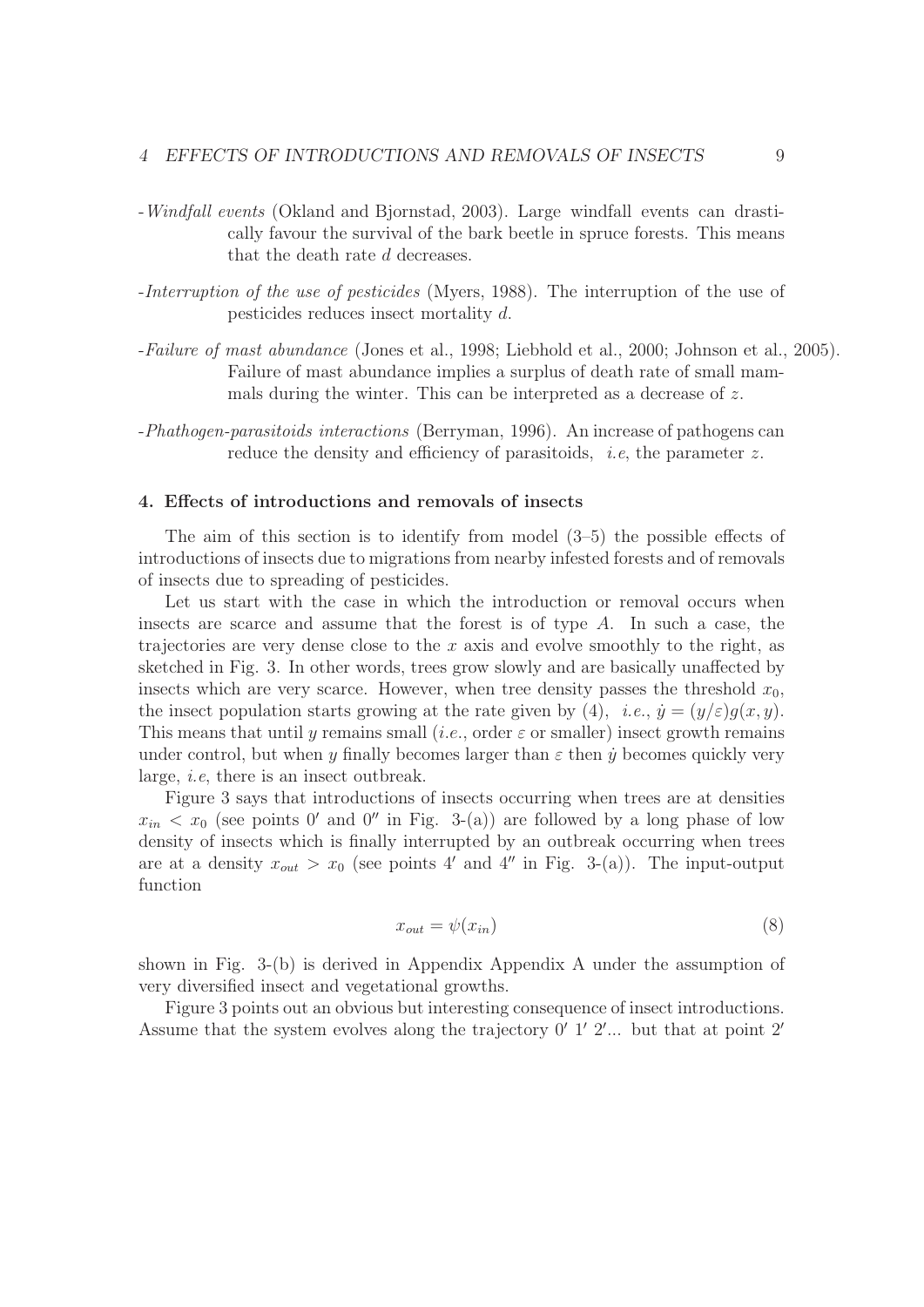- -Windfall events (Okland and Bjornstad, 2003). Large windfall events can drastically favour the survival of the bark beetle in spruce forests. This means that the death rate d decreases.
- -Interruption of the use of pesticides (Myers, 1988). The interruption of the use of pesticides reduces insect mortality d.
- -Failure of mast abundance (Jones et al., 1998; Liebhold et al., 2000; Johnson et al., 2005). Failure of mast abundance implies a surplus of death rate of small mammals during the winter. This can be interpreted as a decrease of z.
- -Phathogen-parasitoids interactions (Berryman, 1996). An increase of pathogens can reduce the density and efficiency of parasitoids, *i.e.* the parameter z.

## 4. Effects of introductions and removals of insects

The aim of this section is to identify from model (3–5) the possible effects of introductions of insects due to migrations from nearby infested forests and of removals of insects due to spreading of pesticides.

Let us start with the case in which the introduction or removal occurs when insects are scarce and assume that the forest is of type A. In such a case, the trajectories are very dense close to the  $x$  axis and evolve smoothly to the right, as sketched in Fig. 3. In other words, trees grow slowly and are basically unaffected by insects which are very scarce. However, when tree density passes the threshold  $x_0$ , the insect population starts growing at the rate given by (4), *i.e.*,  $\dot{y} = (y/\varepsilon)g(x, y)$ . This means that until y remains small (*i.e.*, order  $\varepsilon$  or smaller) insect growth remains under control, but when y finally becomes larger than  $\varepsilon$  then y becomes quickly very large, i.e, there is an insect outbreak.

Figure 3 says that introductions of insects occurring when trees are at densities  $x_{in} < x_0$  (see points 0' and 0" in Fig. 3-(a)) are followed by a long phase of low density of insects which is finally interrupted by an outbreak occurring when trees are at a density  $x_{out} > x_0$  (see points 4' and 4" in Fig. 3-(a)). The input-output function

$$
x_{out} = \psi(x_{in})
$$
 (8)

shown in Fig. 3-(b) is derived in Appendix Appendix A under the assumption of very diversified insect and vegetational growths.

Figure 3 points out an obvious but interesting consequence of insect introductions. Assume that the system evolves along the trajectory  $0'$  1'  $2'...$  but that at point  $2'$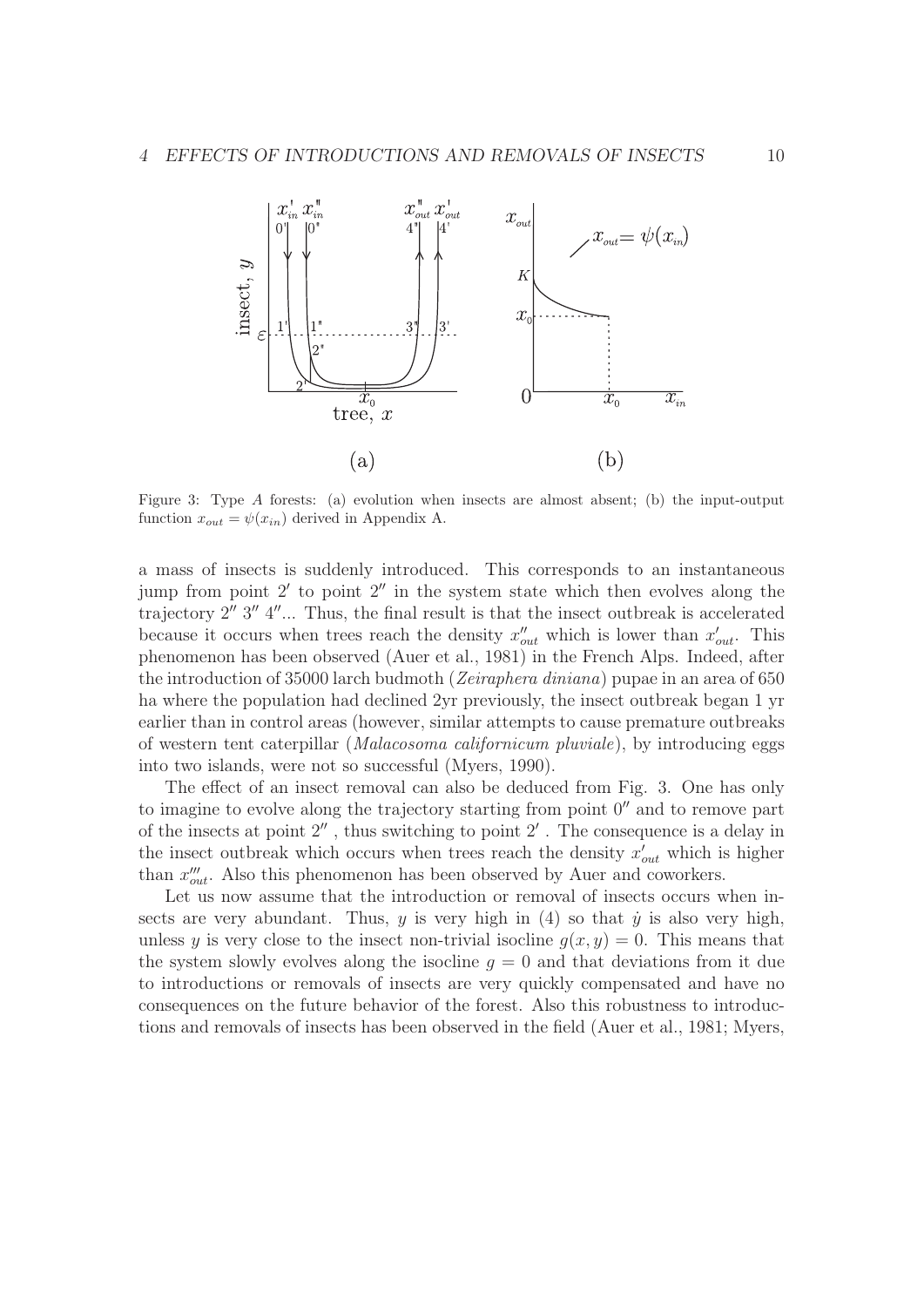

Figure 3: Type A forests: (a) evolution when insects are almost absent; (b) the input-output function  $x_{out} = \psi(x_{in})$  derived in Appendix A.

a mass of insects is suddenly introduced. This corresponds to an instantaneous jump from point  $2'$  to point  $2''$  in the system state which then evolves along the trajectory  $2''$   $3''$   $4''...$  Thus, the final result is that the insect outbreak is accelerated because it occurs when trees reach the density  $x''_{out}$  which is lower than  $x'_{out}$ . This phenomenon has been observed (Auer et al., 1981) in the French Alps. Indeed, after the introduction of 35000 larch budmoth (Zeiraphera diniana) pupae in an area of 650 ha where the population had declined 2yr previously, the insect outbreak began 1 yr earlier than in control areas (however, similar attempts to cause premature outbreaks of western tent caterpillar (Malacosoma californicum pluviale), by introducing eggs into two islands, were not so successful (Myers, 1990).

The effect of an insect removal can also be deduced from Fig. 3. One has only to imagine to evolve along the trajectory starting from point  $0''$  and to remove part of the insects at point  $2''$ , thus switching to point  $2'$ . The consequence is a delay in the insect outbreak which occurs when trees reach the density  $x'_{out}$  which is higher than  $x_{out}^{\prime\prime}$ . Also this phenomenon has been observed by Auer and coworkers.

Let us now assume that the introduction or removal of insects occurs when insects are very abundant. Thus, y is very high in  $(4)$  so that y is also very high, unless y is very close to the insect non-trivial isocline  $g(x, y)=0$ . This means that the system slowly evolves along the isocline  $q = 0$  and that deviations from it due to introductions or removals of insects are very quickly compensated and have no consequences on the future behavior of the forest. Also this robustness to introductions and removals of insects has been observed in the field (Auer et al., 1981; Myers,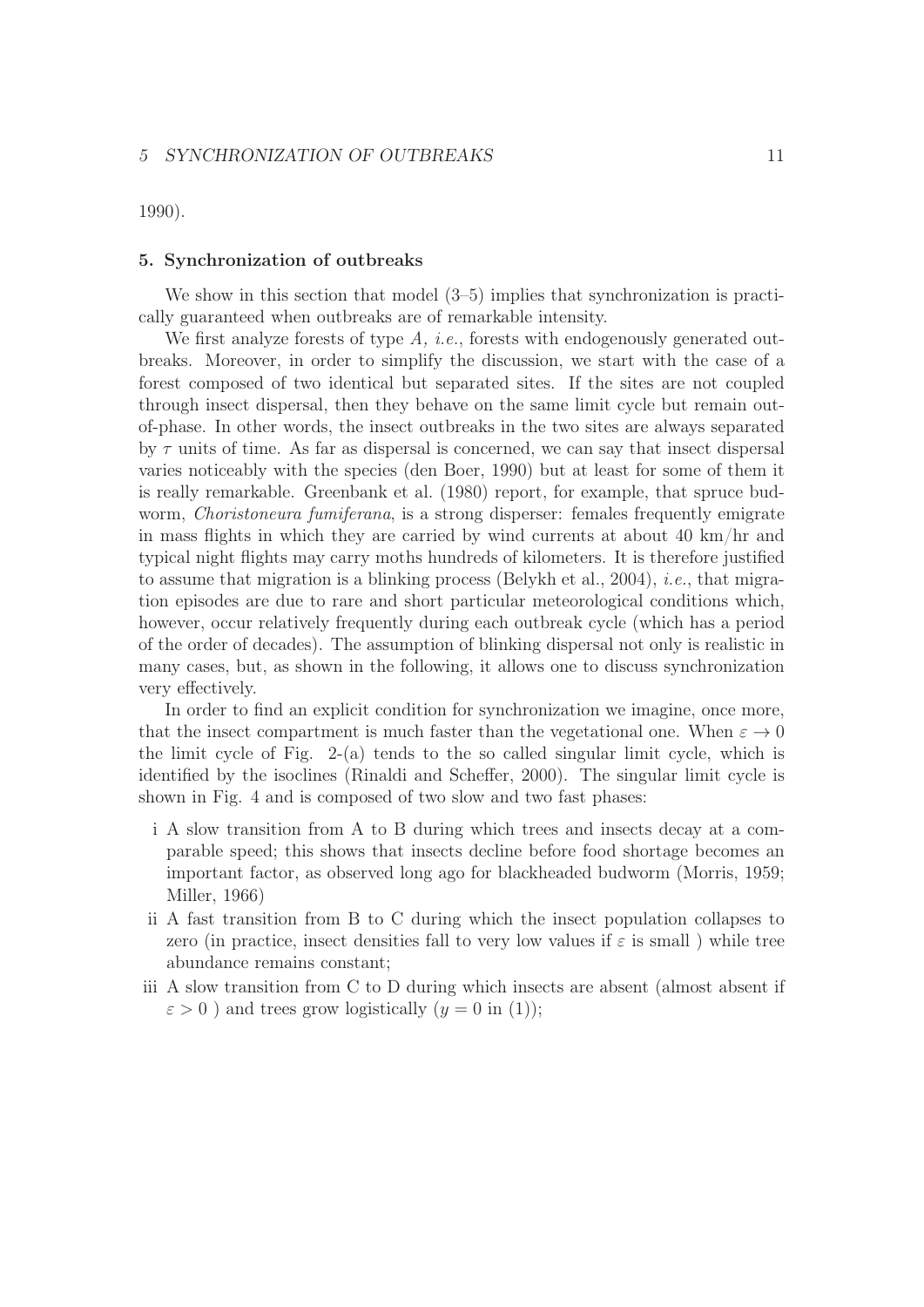1990).

## 5. Synchronization of outbreaks

We show in this section that model  $(3-5)$  implies that synchronization is practically guaranteed when outbreaks are of remarkable intensity.

We first analyze forests of type  $A$ , *i.e.*, forests with endogenously generated outbreaks. Moreover, in order to simplify the discussion, we start with the case of a forest composed of two identical but separated sites. If the sites are not coupled through insect dispersal, then they behave on the same limit cycle but remain outof-phase. In other words, the insect outbreaks in the two sites are always separated by  $\tau$  units of time. As far as dispersal is concerned, we can say that insect dispersal varies noticeably with the species (den Boer, 1990) but at least for some of them it is really remarkable. Greenbank et al. (1980) report, for example, that spruce budworm, *Choristoneura fumiferana*, is a strong disperser: females frequently emigrate in mass flights in which they are carried by wind currents at about 40 km/hr and typical night flights may carry moths hundreds of kilometers. It is therefore justified to assume that migration is a blinking process (Belykh et al., 2004), i.e., that migration episodes are due to rare and short particular meteorological conditions which, however, occur relatively frequently during each outbreak cycle (which has a period of the order of decades). The assumption of blinking dispersal not only is realistic in many cases, but, as shown in the following, it allows one to discuss synchronization very effectively.

In order to find an explicit condition for synchronization we imagine, once more, that the insect compartment is much faster than the vegetational one. When  $\varepsilon \to 0$ the limit cycle of Fig. 2-(a) tends to the so called singular limit cycle, which is identified by the isoclines (Rinaldi and Scheffer, 2000). The singular limit cycle is shown in Fig. 4 and is composed of two slow and two fast phases:

- i A slow transition from A to B during which trees and insects decay at a comparable speed; this shows that insects decline before food shortage becomes an important factor, as observed long ago for blackheaded budworm (Morris, 1959; Miller, 1966)
- ii A fast transition from B to C during which the insect population collapses to zero (in practice, insect densities fall to very low values if  $\varepsilon$  is small ) while tree abundance remains constant;
- iii A slow transition from C to D during which insects are absent (almost absent if  $\varepsilon > 0$ ) and trees grow logistically  $(y = 0$  in (1));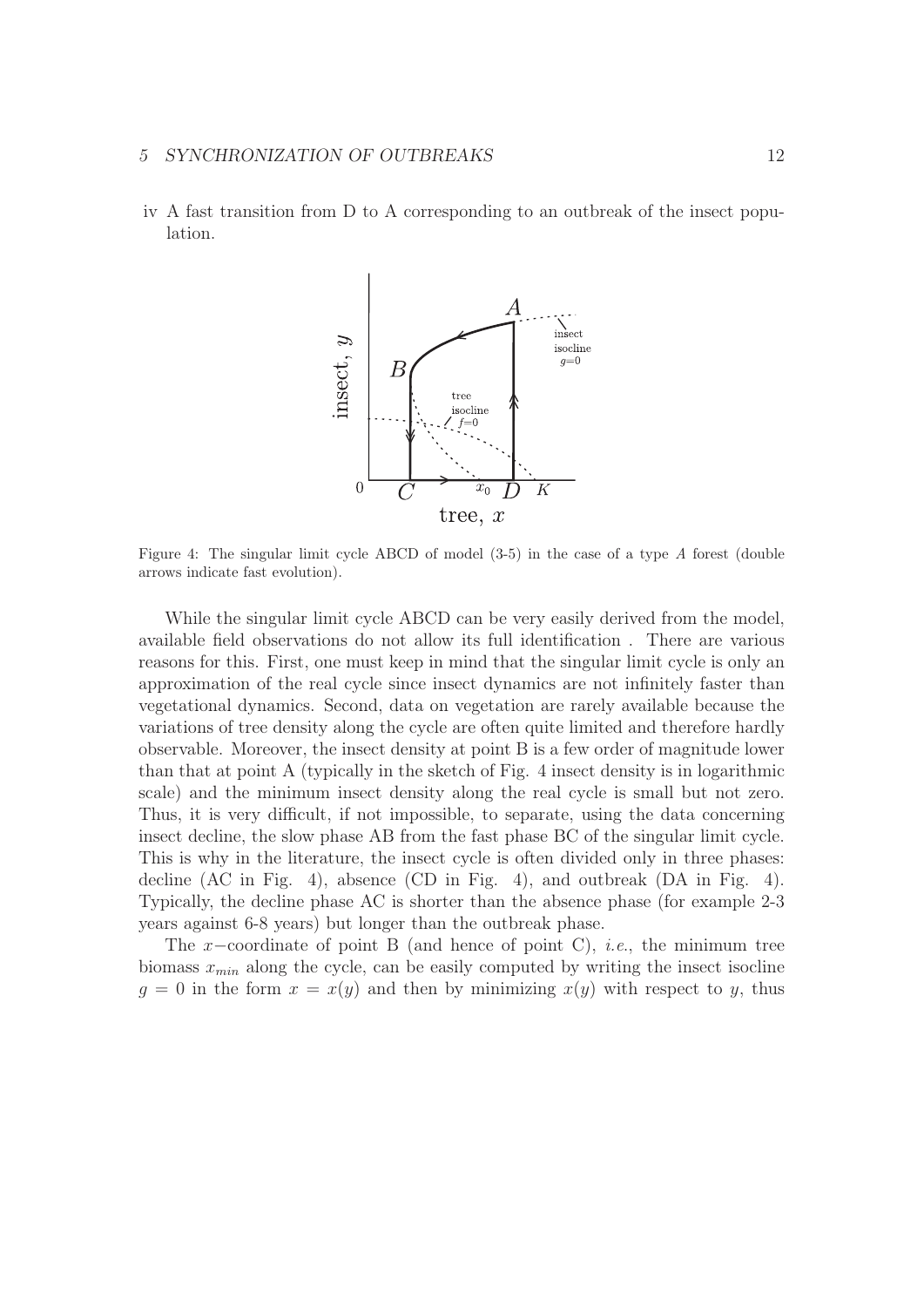#### 5 SYNCHRONIZATION OF OUTBREAKS 12

iv A fast transition from D to A corresponding to an outbreak of the insect population.



Figure 4: The singular limit cycle ABCD of model (3-5) in the case of a type *A* forest (double arrows indicate fast evolution).

While the singular limit cycle ABCD can be very easily derived from the model, available field observations do not allow its full identification . There are various reasons for this. First, one must keep in mind that the singular limit cycle is only an approximation of the real cycle since insect dynamics are not infinitely faster than vegetational dynamics. Second, data on vegetation are rarely available because the variations of tree density along the cycle are often quite limited and therefore hardly observable. Moreover, the insect density at point B is a few order of magnitude lower than that at point A (typically in the sketch of Fig. 4 insect density is in logarithmic scale) and the minimum insect density along the real cycle is small but not zero. Thus, it is very difficult, if not impossible, to separate, using the data concerning insect decline, the slow phase AB from the fast phase BC of the singular limit cycle. This is why in the literature, the insect cycle is often divided only in three phases: decline (AC in Fig. 4), absence (CD in Fig. 4), and outbreak (DA in Fig. 4). Typically, the decline phase AC is shorter than the absence phase (for example 2-3 years against 6-8 years) but longer than the outbreak phase.

The x–coordinate of point B (and hence of point C), *i.e.*, the minimum tree biomass  $x_{min}$  along the cycle, can be easily computed by writing the insect isocline  $g = 0$  in the form  $x = x(y)$  and then by minimizing  $x(y)$  with respect to y, thus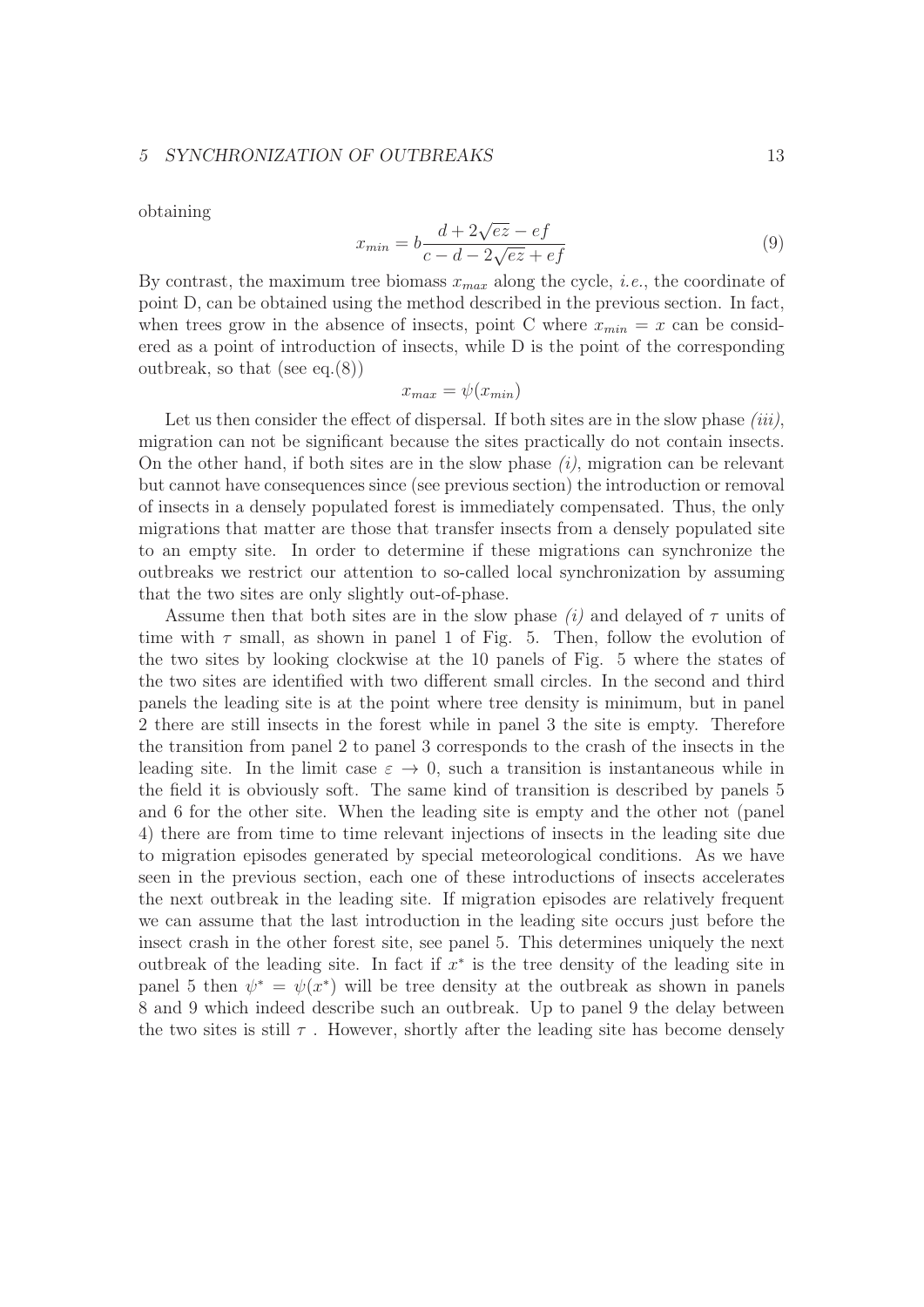## 5 SYNCHRONIZATION OF OUTBREAKS 13

obtaining

$$
x_{min} = b \frac{d + 2\sqrt{ez} - ef}{c - d - 2\sqrt{ez} + ef}
$$
\n(9)

By contrast, the maximum tree biomass  $x_{max}$  along the cycle, *i.e.*, the coordinate of point D, can be obtained using the method described in the previous section. In fact, when trees grow in the absence of insects, point C where  $x_{min} = x$  can be considered as a point of introduction of insects, while D is the point of the corresponding outbreak, so that (see eq.(8))

$$
x_{max} = \psi(x_{min})
$$

Let us then consider the effect of dispersal. If both sites are in the slow phase  $(iii)$ , migration can not be significant because the sites practically do not contain insects. On the other hand, if both sites are in the slow phase  $(i)$ , migration can be relevant but cannot have consequences since (see previous section) the introduction or removal of insects in a densely populated forest is immediately compensated. Thus, the only migrations that matter are those that transfer insects from a densely populated site to an empty site. In order to determine if these migrations can synchronize the outbreaks we restrict our attention to so-called local synchronization by assuming that the two sites are only slightly out-of-phase.

Assume then that both sites are in the slow phase  $(i)$  and delayed of  $\tau$  units of time with  $\tau$  small, as shown in panel 1 of Fig. 5. Then, follow the evolution of the two sites by looking clockwise at the 10 panels of Fig. 5 where the states of the two sites are identified with two different small circles. In the second and third panels the leading site is at the point where tree density is minimum, but in panel 2 there are still insects in the forest while in panel 3 the site is empty. Therefore the transition from panel 2 to panel 3 corresponds to the crash of the insects in the leading site. In the limit case  $\varepsilon \to 0$ , such a transition is instantaneous while in the field it is obviously soft. The same kind of transition is described by panels 5 and 6 for the other site. When the leading site is empty and the other not (panel 4) there are from time to time relevant injections of insects in the leading site due to migration episodes generated by special meteorological conditions. As we have seen in the previous section, each one of these introductions of insects accelerates the next outbreak in the leading site. If migration episodes are relatively frequent we can assume that the last introduction in the leading site occurs just before the insect crash in the other forest site, see panel 5. This determines uniquely the next outbreak of the leading site. In fact if  $x^*$  is the tree density of the leading site in panel 5 then  $\psi^* = \psi(x^*)$  will be tree density at the outbreak as shown in panels 8 and 9 which indeed describe such an outbreak. Up to panel 9 the delay between the two sites is still  $\tau$ . However, shortly after the leading site has become densely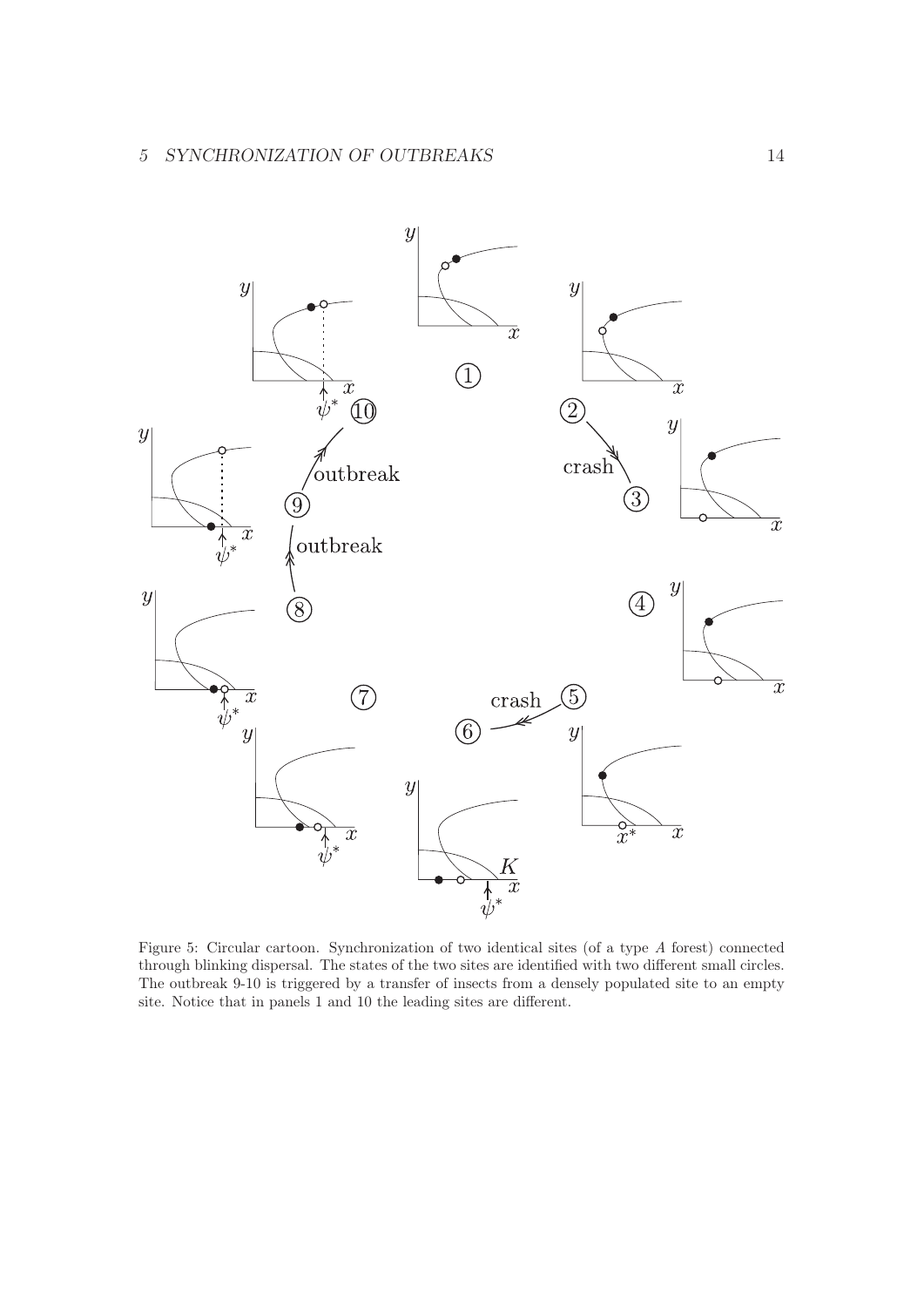

Figure 5: Circular cartoon. Synchronization of two identical sites (of a type *A* forest) connected through blinking dispersal. The states of the two sites are identified with two different small circles. The outbreak 9-10 is triggered by a transfer of insects from a densely populated site to an empty site. Notice that in panels 1 and 10 the leading sites are different.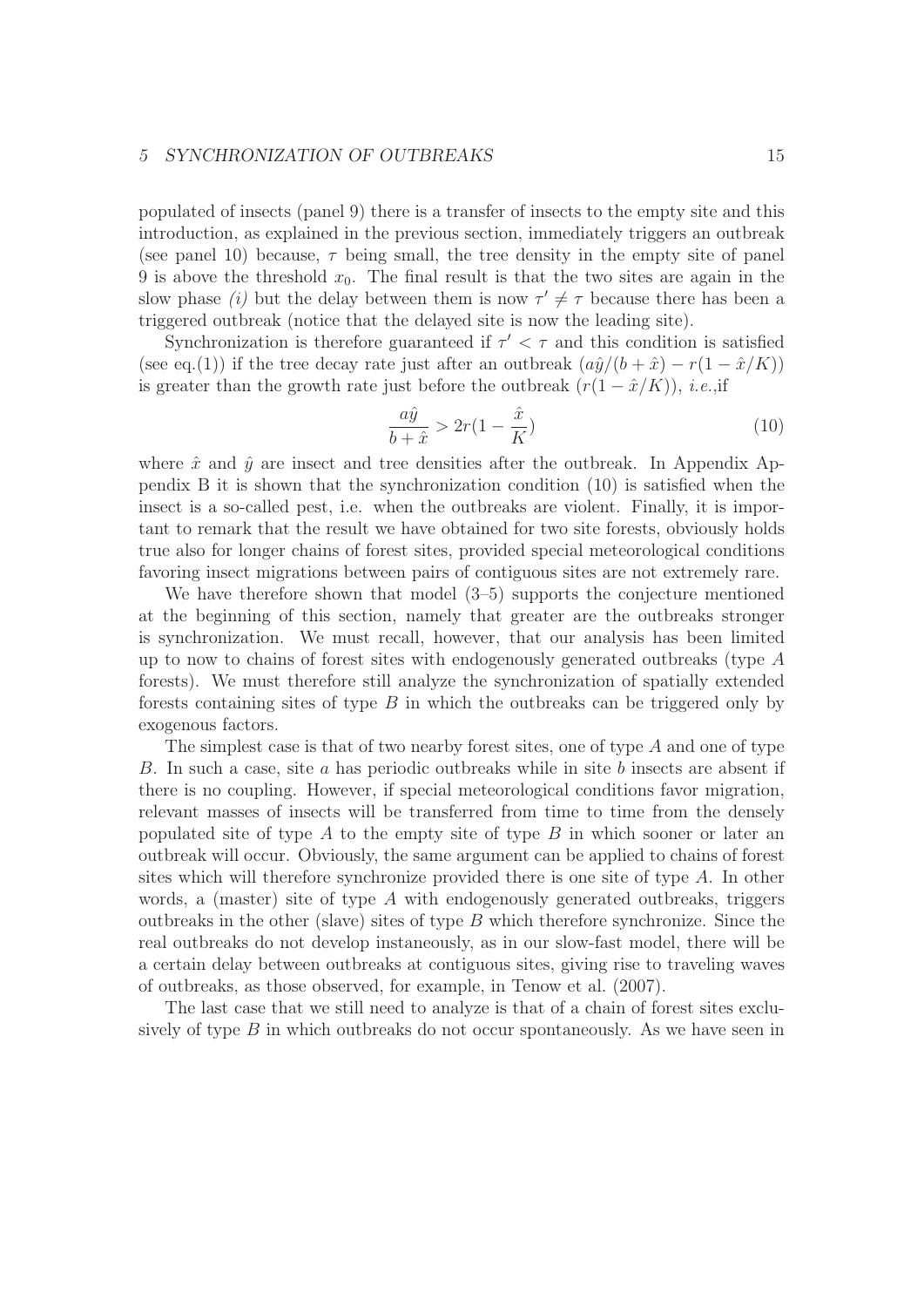## 5 SYNCHRONIZATION OF OUTBREAKS 15

populated of insects (panel 9) there is a transfer of insects to the empty site and this introduction, as explained in the previous section, immediately triggers an outbreak (see panel 10) because,  $\tau$  being small, the tree density in the empty site of panel 9 is above the threshold  $x_0$ . The final result is that the two sites are again in the slow phase *(i)* but the delay between them is now  $\tau' \neq \tau$  because there has been a triggered outbreak (notice that the delayed site is now the leading site).

Synchronization is therefore guaranteed if  $\tau' < \tau$  and this condition is satisfied (see eq.(1)) if the tree decay rate just after an outbreak  $(a\hat{y}/(b + \hat{x}) - r(1 - \hat{x}/K))$ is greater than the growth rate just before the outbreak  $(r(1 - \hat{x}/K))$ , *i.e.*,if

$$
\frac{a\hat{y}}{b+\hat{x}} > 2r(1-\frac{\hat{x}}{K})
$$
\n(10)

where  $\hat{x}$  and  $\hat{y}$  are insect and tree densities after the outbreak. In Appendix Appendix B it is shown that the synchronization condition (10) is satisfied when the insect is a so-called pest, i.e. when the outbreaks are violent. Finally, it is important to remark that the result we have obtained for two site forests, obviously holds true also for longer chains of forest sites, provided special meteorological conditions favoring insect migrations between pairs of contiguous sites are not extremely rare.

We have therefore shown that model  $(3-5)$  supports the conjecture mentioned at the beginning of this section, namely that greater are the outbreaks stronger is synchronization. We must recall, however, that our analysis has been limited up to now to chains of forest sites with endogenously generated outbreaks (type  $A$ forests). We must therefore still analyze the synchronization of spatially extended forests containing sites of type  $B$  in which the outbreaks can be triggered only by exogenous factors.

The simplest case is that of two nearby forest sites, one of type A and one of type B. In such a case, site a has periodic outbreaks while in site b insects are absent if there is no coupling. However, if special meteorological conditions favor migration, relevant masses of insects will be transferred from time to time from the densely populated site of type A to the empty site of type B in which sooner or later an outbreak will occur. Obviously, the same argument can be applied to chains of forest sites which will therefore synchronize provided there is one site of type A. In other words, a (master) site of type A with endogenously generated outbreaks, triggers outbreaks in the other (slave) sites of type  $B$  which therefore synchronize. Since the real outbreaks do not develop instaneously, as in our slow-fast model, there will be a certain delay between outbreaks at contiguous sites, giving rise to traveling waves of outbreaks, as those observed, for example, in Tenow et al. (2007).

The last case that we still need to analyze is that of a chain of forest sites exclusively of type  $B$  in which outbreaks do not occur spontaneously. As we have seen in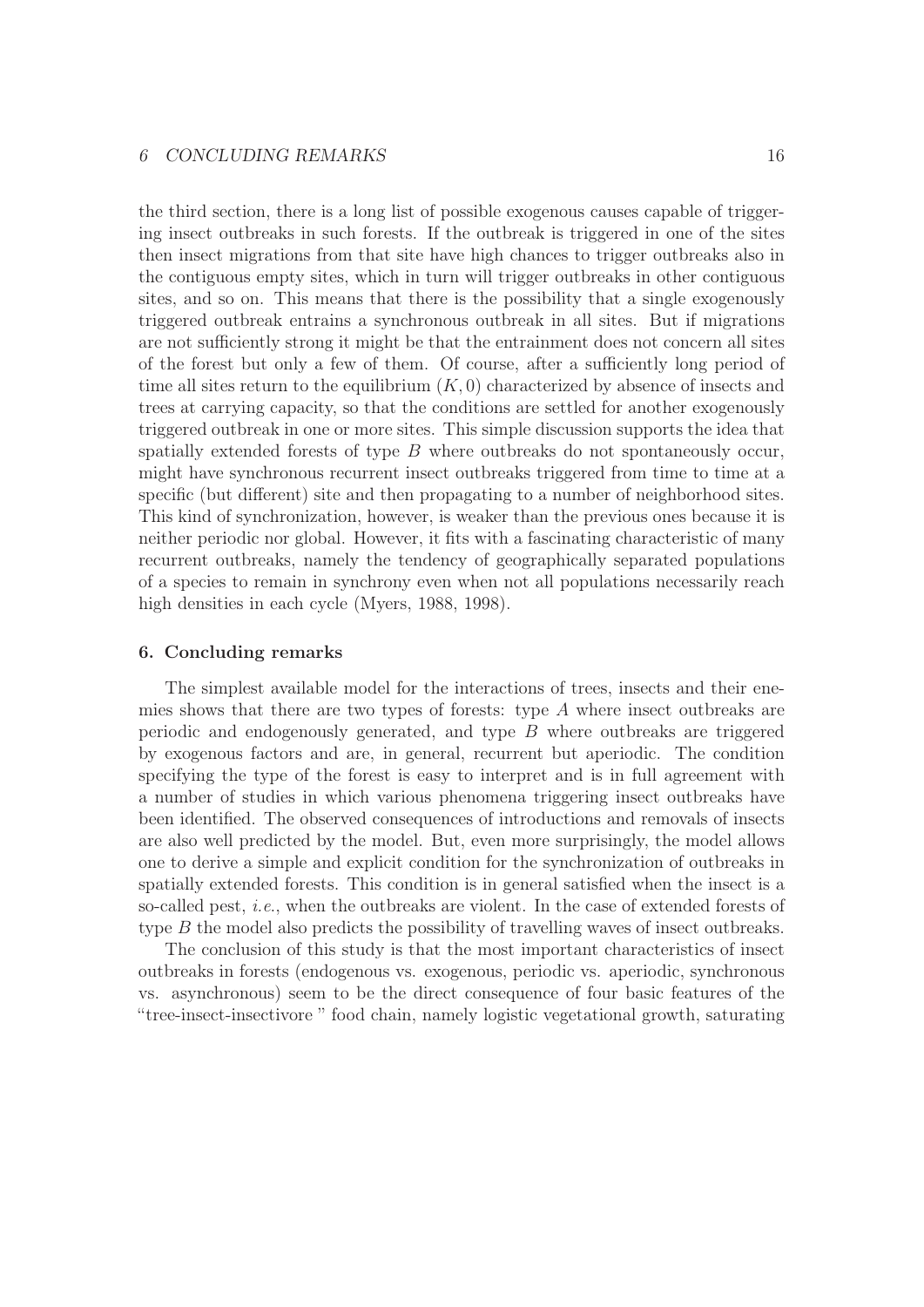the third section, there is a long list of possible exogenous causes capable of triggering insect outbreaks in such forests. If the outbreak is triggered in one of the sites then insect migrations from that site have high chances to trigger outbreaks also in the contiguous empty sites, which in turn will trigger outbreaks in other contiguous sites, and so on. This means that there is the possibility that a single exogenously triggered outbreak entrains a synchronous outbreak in all sites. But if migrations are not sufficiently strong it might be that the entrainment does not concern all sites of the forest but only a few of them. Of course, after a sufficiently long period of time all sites return to the equilibrium  $(K, 0)$  characterized by absence of insects and trees at carrying capacity, so that the conditions are settled for another exogenously triggered outbreak in one or more sites. This simple discussion supports the idea that spatially extended forests of type  $B$  where outbreaks do not spontaneously occur, might have synchronous recurrent insect outbreaks triggered from time to time at a specific (but different) site and then propagating to a number of neighborhood sites. This kind of synchronization, however, is weaker than the previous ones because it is neither periodic nor global. However, it fits with a fascinating characteristic of many recurrent outbreaks, namely the tendency of geographically separated populations of a species to remain in synchrony even when not all populations necessarily reach high densities in each cycle (Myers, 1988, 1998).

## 6. Concluding remarks

The simplest available model for the interactions of trees, insects and their enemies shows that there are two types of forests: type  $A$  where insect outbreaks are periodic and endogenously generated, and type  $B$  where outbreaks are triggered by exogenous factors and are, in general, recurrent but aperiodic. The condition specifying the type of the forest is easy to interpret and is in full agreement with a number of studies in which various phenomena triggering insect outbreaks have been identified. The observed consequences of introductions and removals of insects are also well predicted by the model. But, even more surprisingly, the model allows one to derive a simple and explicit condition for the synchronization of outbreaks in spatially extended forests. This condition is in general satisfied when the insect is a so-called pest, i.e., when the outbreaks are violent. In the case of extended forests of type B the model also predicts the possibility of travelling waves of insect outbreaks.

The conclusion of this study is that the most important characteristics of insect outbreaks in forests (endogenous vs. exogenous, periodic vs. aperiodic, synchronous vs. asynchronous) seem to be the direct consequence of four basic features of the "tree-insect-insectivore " food chain, namely logistic vegetational growth, saturating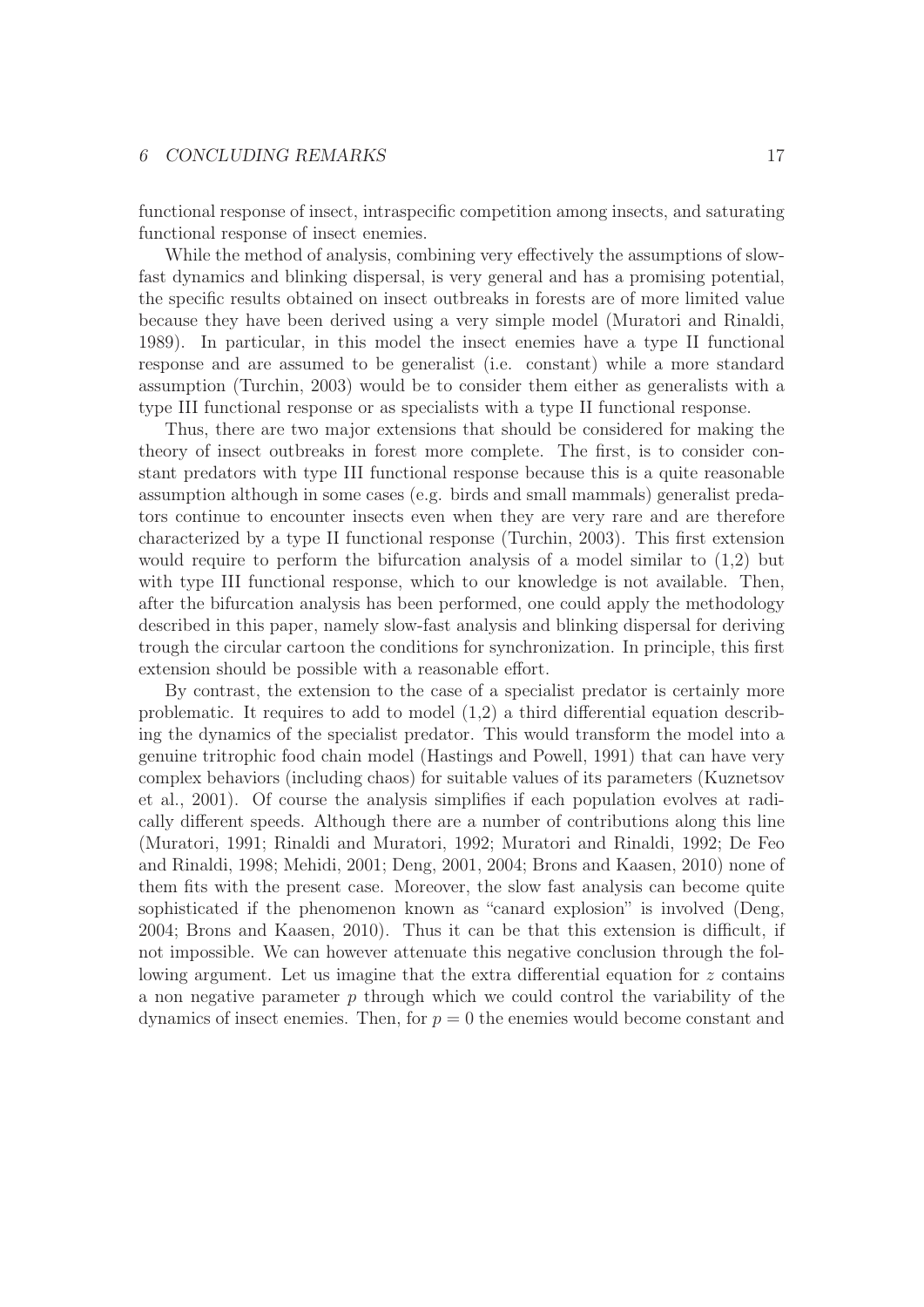## 6 CONCLUDING REMARKS 17

functional response of insect, intraspecific competition among insects, and saturating functional response of insect enemies.

While the method of analysis, combining very effectively the assumptions of slowfast dynamics and blinking dispersal, is very general and has a promising potential, the specific results obtained on insect outbreaks in forests are of more limited value because they have been derived using a very simple model (Muratori and Rinaldi, 1989). In particular, in this model the insect enemies have a type II functional response and are assumed to be generalist (i.e. constant) while a more standard assumption (Turchin, 2003) would be to consider them either as generalists with a type III functional response or as specialists with a type II functional response.

Thus, there are two major extensions that should be considered for making the theory of insect outbreaks in forest more complete. The first, is to consider constant predators with type III functional response because this is a quite reasonable assumption although in some cases (e.g. birds and small mammals) generalist predators continue to encounter insects even when they are very rare and are therefore characterized by a type II functional response (Turchin, 2003). This first extension would require to perform the bifurcation analysis of a model similar to  $(1,2)$  but with type III functional response, which to our knowledge is not available. Then, after the bifurcation analysis has been performed, one could apply the methodology described in this paper, namely slow-fast analysis and blinking dispersal for deriving trough the circular cartoon the conditions for synchronization. In principle, this first extension should be possible with a reasonable effort.

By contrast, the extension to the case of a specialist predator is certainly more problematic. It requires to add to model (1,2) a third differential equation describing the dynamics of the specialist predator. This would transform the model into a genuine tritrophic food chain model (Hastings and Powell, 1991) that can have very complex behaviors (including chaos) for suitable values of its parameters (Kuznetsov et al., 2001). Of course the analysis simplifies if each population evolves at radically different speeds. Although there are a number of contributions along this line (Muratori, 1991; Rinaldi and Muratori, 1992; Muratori and Rinaldi, 1992; De Feo and Rinaldi, 1998; Mehidi, 2001; Deng, 2001, 2004; Brons and Kaasen, 2010) none of them fits with the present case. Moreover, the slow fast analysis can become quite sophisticated if the phenomenon known as "canard explosion" is involved (Deng, 2004; Brons and Kaasen, 2010). Thus it can be that this extension is difficult, if not impossible. We can however attenuate this negative conclusion through the following argument. Let us imagine that the extra differential equation for z contains a non negative parameter p through which we could control the variability of the dynamics of insect enemies. Then, for  $p = 0$  the enemies would become constant and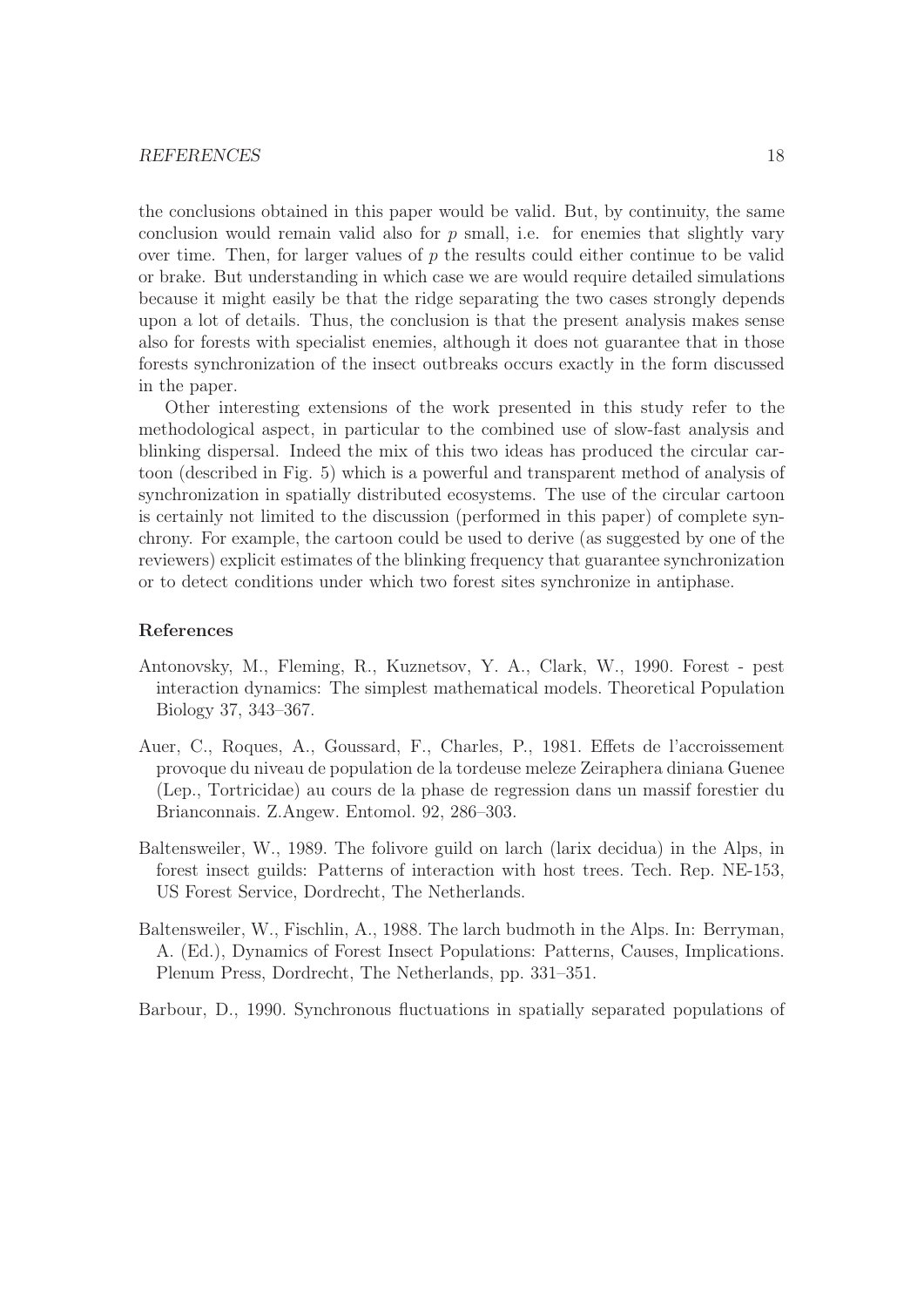the conclusions obtained in this paper would be valid. But, by continuity, the same conclusion would remain valid also for  $p$  small, i.e. for enemies that slightly vary over time. Then, for larger values of  $p$  the results could either continue to be valid or brake. But understanding in which case we are would require detailed simulations because it might easily be that the ridge separating the two cases strongly depends upon a lot of details. Thus, the conclusion is that the present analysis makes sense also for forests with specialist enemies, although it does not guarantee that in those forests synchronization of the insect outbreaks occurs exactly in the form discussed in the paper.

Other interesting extensions of the work presented in this study refer to the methodological aspect, in particular to the combined use of slow-fast analysis and blinking dispersal. Indeed the mix of this two ideas has produced the circular cartoon (described in Fig. 5) which is a powerful and transparent method of analysis of synchronization in spatially distributed ecosystems. The use of the circular cartoon is certainly not limited to the discussion (performed in this paper) of complete synchrony. For example, the cartoon could be used to derive (as suggested by one of the reviewers) explicit estimates of the blinking frequency that guarantee synchronization or to detect conditions under which two forest sites synchronize in antiphase.

## References

- Antonovsky, M., Fleming, R., Kuznetsov, Y. A., Clark, W., 1990. Forest pest interaction dynamics: The simplest mathematical models. Theoretical Population Biology 37, 343–367.
- Auer, C., Roques, A., Goussard, F., Charles, P., 1981. Effets de l'accroissement provoque du niveau de population de la tordeuse meleze Zeiraphera diniana Guenee (Lep., Tortricidae) au cours de la phase de regression dans un massif forestier du Brianconnais. Z.Angew. Entomol. 92, 286–303.
- Baltensweiler, W., 1989. The folivore guild on larch (larix decidua) in the Alps, in forest insect guilds: Patterns of interaction with host trees. Tech. Rep. NE-153, US Forest Service, Dordrecht, The Netherlands.
- Baltensweiler, W., Fischlin, A., 1988. The larch budmoth in the Alps. In: Berryman, A. (Ed.), Dynamics of Forest Insect Populations: Patterns, Causes, Implications. Plenum Press, Dordrecht, The Netherlands, pp. 331–351.

Barbour, D., 1990. Synchronous fluctuations in spatially separated populations of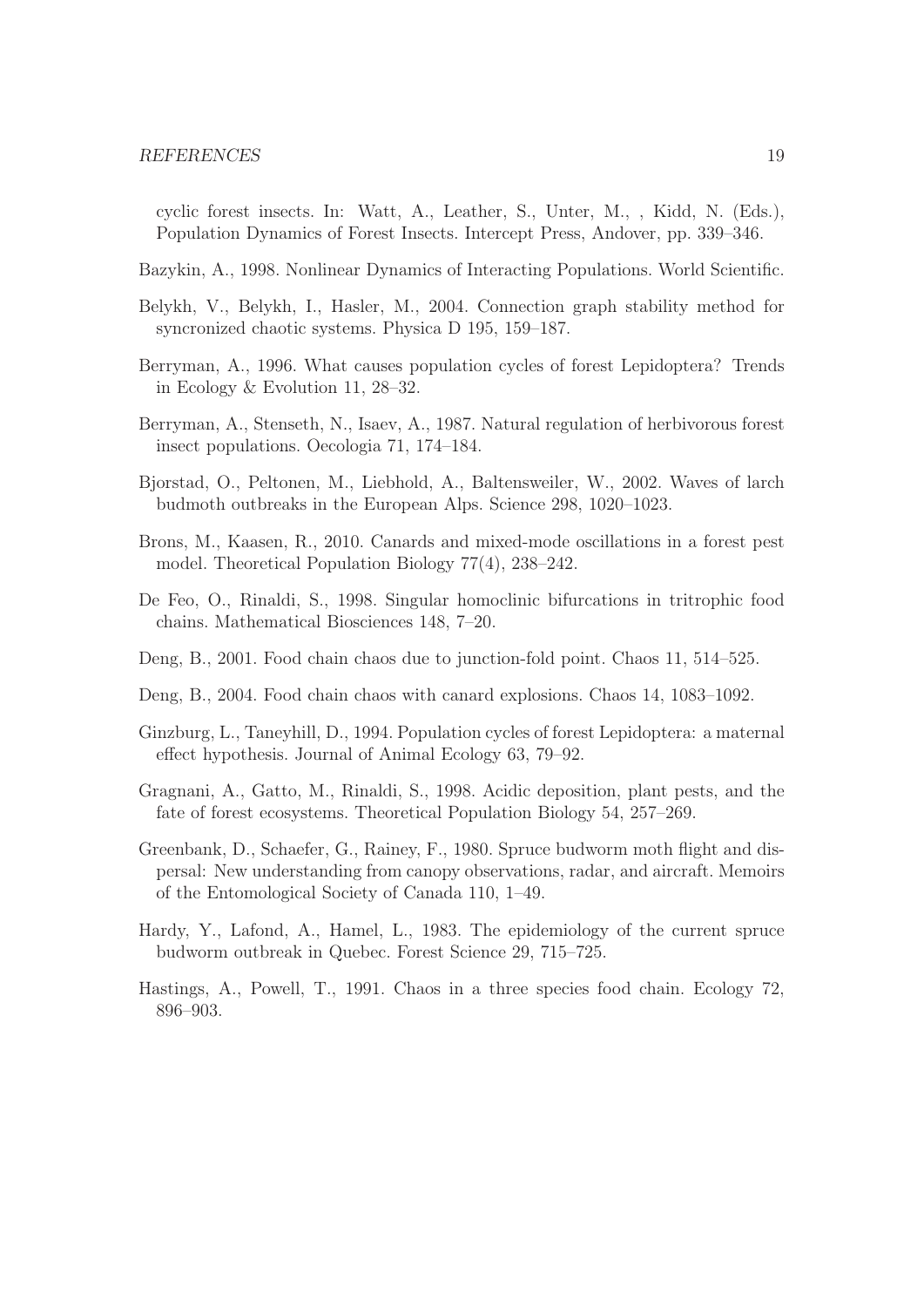- cyclic forest insects. In: Watt, A., Leather, S., Unter, M., , Kidd, N. (Eds.), Population Dynamics of Forest Insects. Intercept Press, Andover, pp. 339–346.
- Bazykin, A., 1998. Nonlinear Dynamics of Interacting Populations. World Scientific.
- Belykh, V., Belykh, I., Hasler, M., 2004. Connection graph stability method for syncronized chaotic systems. Physica D 195, 159–187.
- Berryman, A., 1996. What causes population cycles of forest Lepidoptera? Trends in Ecology & Evolution 11, 28–32.
- Berryman, A., Stenseth, N., Isaev, A., 1987. Natural regulation of herbivorous forest insect populations. Oecologia 71, 174–184.
- Bjorstad, O., Peltonen, M., Liebhold, A., Baltensweiler, W., 2002. Waves of larch budmoth outbreaks in the European Alps. Science 298, 1020–1023.
- Brons, M., Kaasen, R., 2010. Canards and mixed-mode oscillations in a forest pest model. Theoretical Population Biology 77(4), 238–242.
- De Feo, O., Rinaldi, S., 1998. Singular homoclinic bifurcations in tritrophic food chains. Mathematical Biosciences 148, 7–20.
- Deng, B., 2001. Food chain chaos due to junction-fold point. Chaos 11, 514–525.
- Deng, B., 2004. Food chain chaos with canard explosions. Chaos 14, 1083–1092.
- Ginzburg, L., Taneyhill, D., 1994. Population cycles of forest Lepidoptera: a maternal effect hypothesis. Journal of Animal Ecology 63, 79–92.
- Gragnani, A., Gatto, M., Rinaldi, S., 1998. Acidic deposition, plant pests, and the fate of forest ecosystems. Theoretical Population Biology 54, 257–269.
- Greenbank, D., Schaefer, G., Rainey, F., 1980. Spruce budworm moth flight and dispersal: New understanding from canopy observations, radar, and aircraft. Memoirs of the Entomological Society of Canada 110, 1–49.
- Hardy, Y., Lafond, A., Hamel, L., 1983. The epidemiology of the current spruce budworm outbreak in Quebec. Forest Science 29, 715–725.
- Hastings, A., Powell, T., 1991. Chaos in a three species food chain. Ecology 72, 896–903.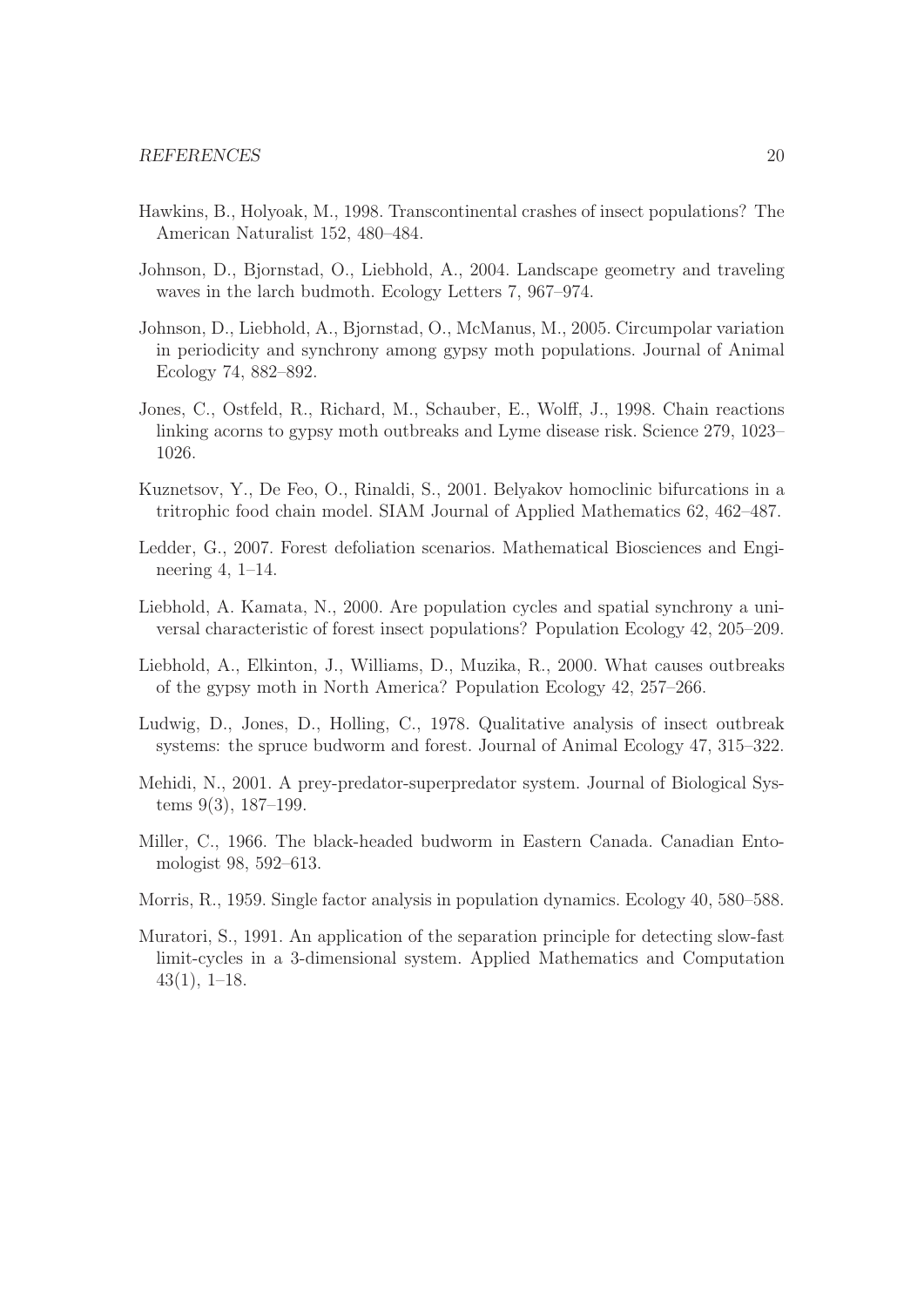- Hawkins, B., Holyoak, M., 1998. Transcontinental crashes of insect populations? The American Naturalist 152, 480–484.
- Johnson, D., Bjornstad, O., Liebhold, A., 2004. Landscape geometry and traveling waves in the larch budmoth. Ecology Letters 7, 967–974.
- Johnson, D., Liebhold, A., Bjornstad, O., McManus, M., 2005. Circumpolar variation in periodicity and synchrony among gypsy moth populations. Journal of Animal Ecology 74, 882–892.
- Jones, C., Ostfeld, R., Richard, M., Schauber, E., Wolff, J., 1998. Chain reactions linking acorns to gypsy moth outbreaks and Lyme disease risk. Science 279, 1023– 1026.
- Kuznetsov, Y., De Feo, O., Rinaldi, S., 2001. Belyakov homoclinic bifurcations in a tritrophic food chain model. SIAM Journal of Applied Mathematics 62, 462–487.
- Ledder, G., 2007. Forest defoliation scenarios. Mathematical Biosciences and Engineering 4, 1–14.
- Liebhold, A. Kamata, N., 2000. Are population cycles and spatial synchrony a universal characteristic of forest insect populations? Population Ecology 42, 205–209.
- Liebhold, A., Elkinton, J., Williams, D., Muzika, R., 2000. What causes outbreaks of the gypsy moth in North America? Population Ecology 42, 257–266.
- Ludwig, D., Jones, D., Holling, C., 1978. Qualitative analysis of insect outbreak systems: the spruce budworm and forest. Journal of Animal Ecology 47, 315–322.
- Mehidi, N., 2001. A prey-predator-superpredator system. Journal of Biological Systems 9(3), 187–199.
- Miller, C., 1966. The black-headed budworm in Eastern Canada. Canadian Entomologist 98, 592–613.
- Morris, R., 1959. Single factor analysis in population dynamics. Ecology 40, 580–588.
- Muratori, S., 1991. An application of the separation principle for detecting slow-fast limit-cycles in a 3-dimensional system. Applied Mathematics and Computation 43(1), 1–18.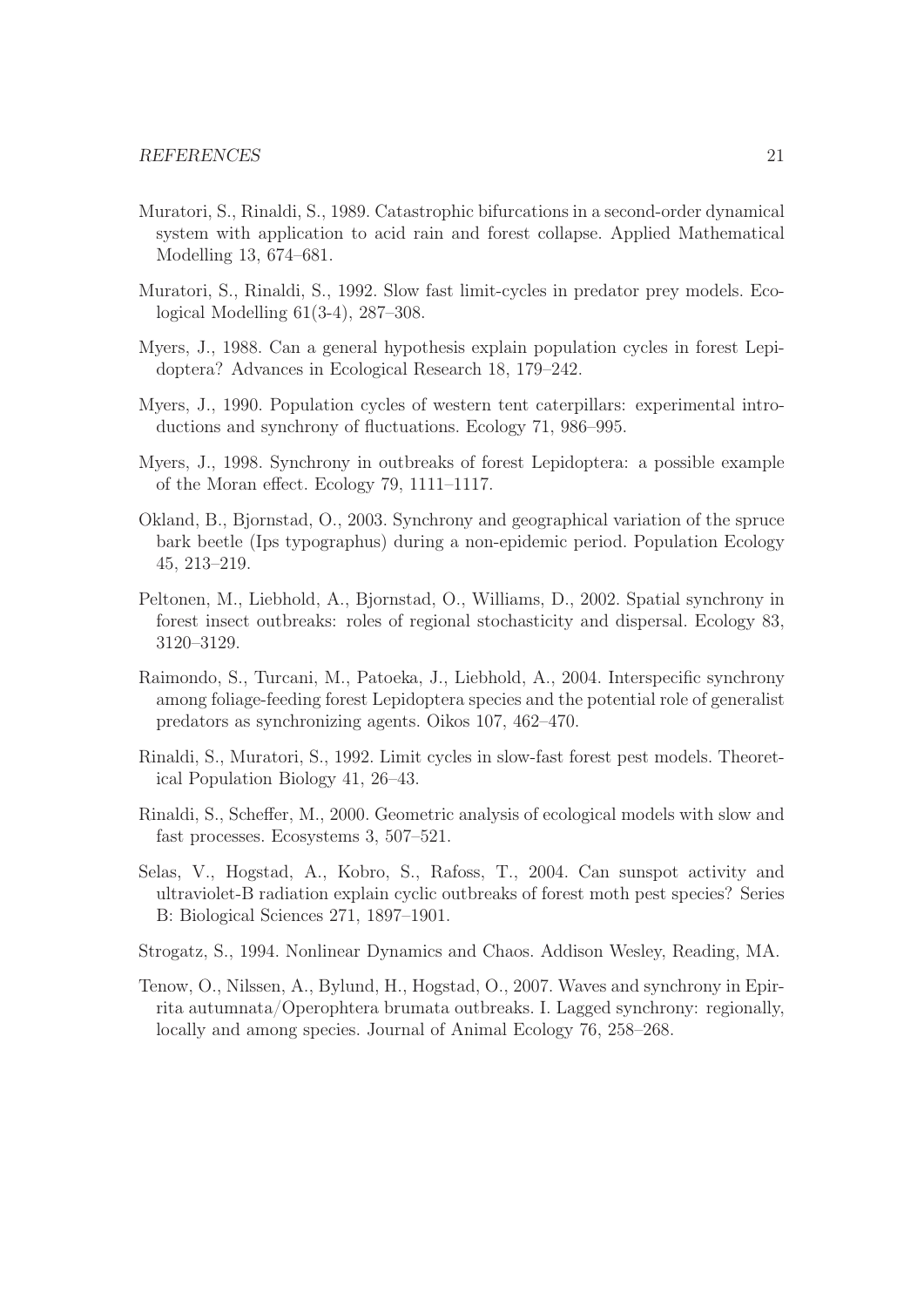- Muratori, S., Rinaldi, S., 1989. Catastrophic bifurcations in a second-order dynamical system with application to acid rain and forest collapse. Applied Mathematical Modelling 13, 674–681.
- Muratori, S., Rinaldi, S., 1992. Slow fast limit-cycles in predator prey models. Ecological Modelling 61(3-4), 287–308.
- Myers, J., 1988. Can a general hypothesis explain population cycles in forest Lepidoptera? Advances in Ecological Research 18, 179–242.
- Myers, J., 1990. Population cycles of western tent caterpillars: experimental introductions and synchrony of fluctuations. Ecology 71, 986–995.
- Myers, J., 1998. Synchrony in outbreaks of forest Lepidoptera: a possible example of the Moran effect. Ecology 79, 1111–1117.
- Okland, B., Bjornstad, O., 2003. Synchrony and geographical variation of the spruce bark beetle (Ips typographus) during a non-epidemic period. Population Ecology 45, 213–219.
- Peltonen, M., Liebhold, A., Bjornstad, O., Williams, D., 2002. Spatial synchrony in forest insect outbreaks: roles of regional stochasticity and dispersal. Ecology 83, 3120–3129.
- Raimondo, S., Turcani, M., Patoeka, J., Liebhold, A., 2004. Interspecific synchrony among foliage-feeding forest Lepidoptera species and the potential role of generalist predators as synchronizing agents. Oikos 107, 462–470.
- Rinaldi, S., Muratori, S., 1992. Limit cycles in slow-fast forest pest models. Theoretical Population Biology 41, 26–43.
- Rinaldi, S., Scheffer, M., 2000. Geometric analysis of ecological models with slow and fast processes. Ecosystems 3, 507–521.
- Selas, V., Hogstad, A., Kobro, S., Rafoss, T., 2004. Can sunspot activity and ultraviolet-B radiation explain cyclic outbreaks of forest moth pest species? Series B: Biological Sciences 271, 1897–1901.
- Strogatz, S., 1994. Nonlinear Dynamics and Chaos. Addison Wesley, Reading, MA.
- Tenow, O., Nilssen, A., Bylund, H., Hogstad, O., 2007. Waves and synchrony in Epirrita autumnata/Operophtera brumata outbreaks. I. Lagged synchrony: regionally, locally and among species. Journal of Animal Ecology 76, 258–268.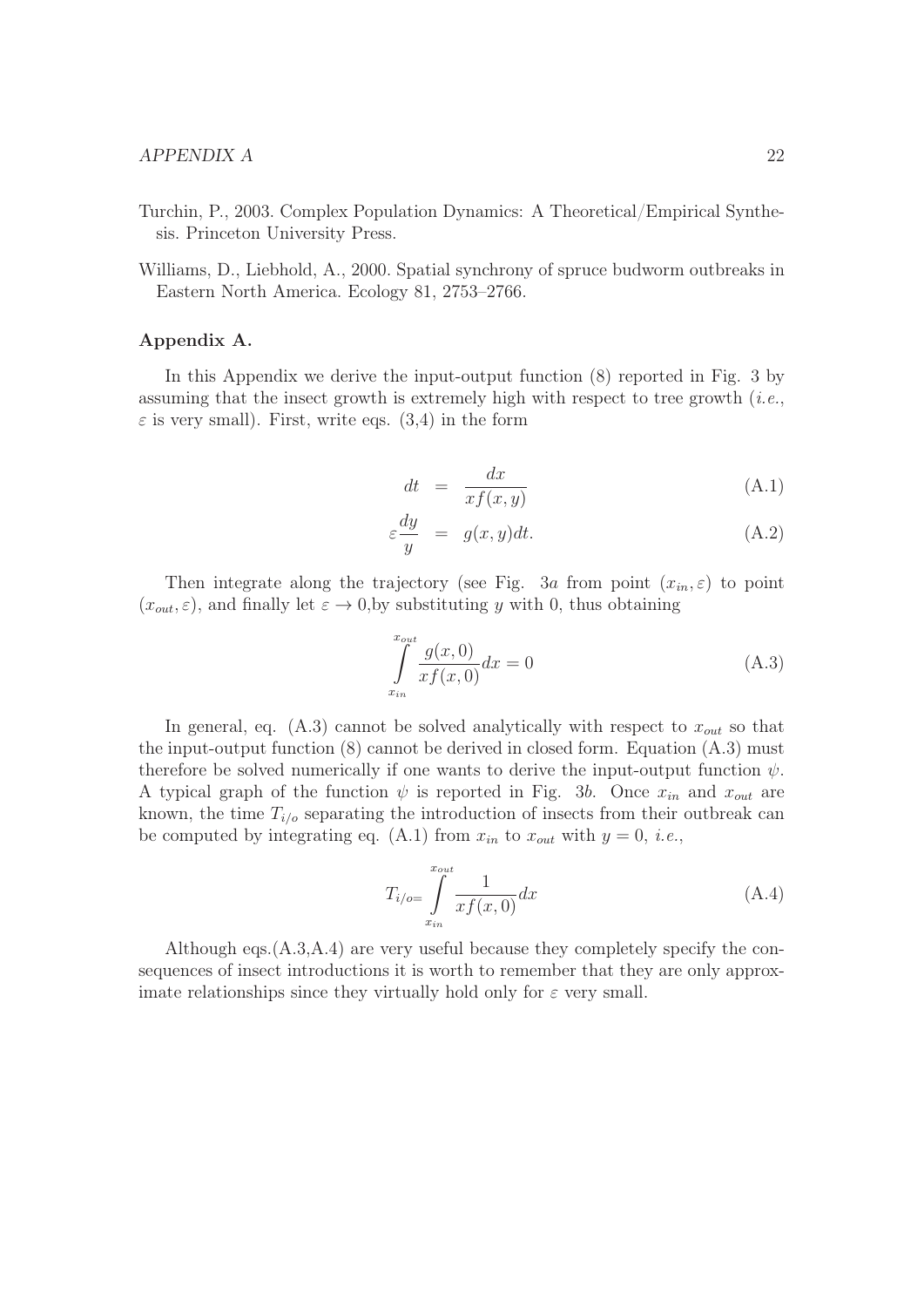- Turchin, P., 2003. Complex Population Dynamics: A Theoretical/Empirical Synthesis. Princeton University Press.
- Williams, D., Liebhold, A., 2000. Spatial synchrony of spruce budworm outbreaks in Eastern North America. Ecology 81, 2753–2766.

## Appendix A.

In this Appendix we derive the input-output function (8) reported in Fig. 3 by assuming that the insect growth is extremely high with respect to tree growth  $(i.e.,$  $\varepsilon$  is very small). First, write eqs. (3,4) in the form

$$
dt = \frac{dx}{xf(x,y)}
$$
(A.1)

$$
\varepsilon \frac{dy}{y} = g(x, y)dt. \tag{A.2}
$$

Then integrate along the trajectory (see Fig. 3a from point  $(x_{in}, \varepsilon)$  to point  $(x_{out}, \varepsilon)$ , and finally let  $\varepsilon \to 0$ , by substituting y with 0, thus obtaining

$$
\int_{x_{in}}^{x_{out}} \frac{g(x,0)}{xf(x,0)} dx = 0
$$
\n(A.3)

In general, eq. (A.3) cannot be solved analytically with respect to  $x_{out}$  so that the input-output function (8) cannot be derived in closed form. Equation (A.3) must therefore be solved numerically if one wants to derive the input-output function  $\psi$ . A typical graph of the function  $\psi$  is reported in Fig. 3b. Once  $x_{in}$  and  $x_{out}$  are known, the time  $T_{i/o}$  separating the introduction of insects from their outbreak can be computed by integrating eq. (A.1) from  $x_{in}$  to  $x_{out}$  with  $y = 0$ , *i.e.*,

$$
T_{i/o} = \int_{x_{in}}^{x_{out}} \frac{1}{xf(x,0)} dx
$$
\n(A.4)

Although eqs.(A.3,A.4) are very useful because they completely specify the consequences of insect introductions it is worth to remember that they are only approximate relationships since they virtually hold only for  $\varepsilon$  very small.